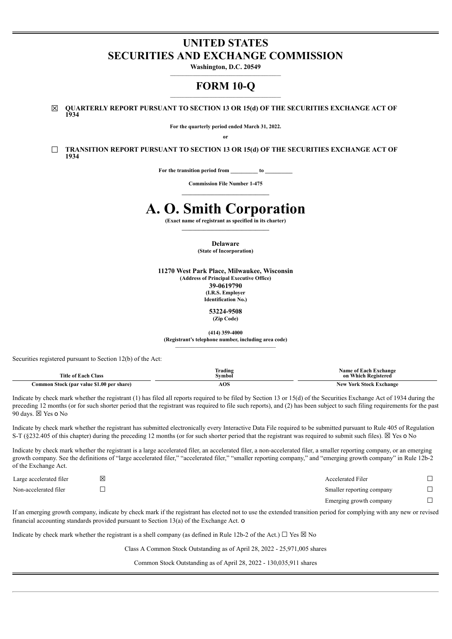# **UNITED STATES SECURITIES AND EXCHANGE COMMISSION**

**Washington, D.C. 20549**

# **FORM 10-Q**

☒ **QUARTERLY REPORT PURSUANT TO SECTION 13 OR 15(d) OF THE SECURITIES EXCHANGE ACT OF 1934**

**For the quarterly period ended March 31, 2022.**

**or**

☐ **TRANSITION REPORT PURSUANT TO SECTION 13 OR 15(d) OF THE SECURITIES EXCHANGE ACT OF 1934**

**For the transition period from \_\_\_\_\_\_\_\_\_\_ to \_\_\_\_\_\_\_\_\_\_**

**Commission File Number 1-475 \_\_\_\_\_\_\_\_\_\_\_\_\_\_\_\_\_\_\_\_\_\_\_\_\_\_\_\_\_\_\_\_**

# **A. O. Smith Corporation**

**(Exact name of registrant as specified in its charter) \_\_\_\_\_\_\_\_\_\_\_\_\_\_\_\_\_\_\_\_\_\_\_\_\_\_\_\_\_\_\_\_**

> **Delaware (State of Incorporation)**

**11270 West Park Place, Milwaukee, Wisconsin (Address of Principal Executive Office) 39-0619790 (I.R.S. Employer Identification No.)**

**53224-9508**

**(Zip Code)**

**(414) 359-4000 (Registrant's telephone number, including area code)**

Securities registered pursuant to Section 12(b) of the Act:

| Title.<br>Aass:<br>∉ach                                | Trading<br>Nymbol | <b>*xchange</b><br>`o e k<br>Name<br>0t<br>масп<br>Registered<br>Which<br>on |
|--------------------------------------------------------|-------------------|------------------------------------------------------------------------------|
| - (L.00 per share).<br>. Stock (par value '<br>`ommon- | AOS               | k Stock Exchange<br>York<br>New                                              |

Indicate by check mark whether the registrant (1) has filed all reports required to be filed by Section 13 or 15(d) of the Securities Exchange Act of 1934 during the preceding 12 months (or for such shorter period that the registrant was required to file such reports), and (2) has been subject to such filing requirements for the past 90 days. ⊠ Yes **o** No

Indicate by check mark whether the registrant has submitted electronically every Interactive Data File required to be submitted pursuant to Rule 405 of Regulation S-T (§232.405 of this chapter) during the preceding 12 months (or for such shorter period that the registrant was required to submit such files). ⊠ Yes o No

Indicate by check mark whether the registrant is a large accelerated filer, an accelerated filer, a non-accelerated filer, a smaller reporting company, or an emerging growth company. See the definitions of "large accelerated filer," "accelerated filer," "smaller reporting company," and "emerging growth company" in Rule 12b-2 of the Exchange Act.

| Large accelerated filer | ⊠ | Accelerated Filer         |  |
|-------------------------|---|---------------------------|--|
| Non-accelerated filer   |   | Smaller reporting company |  |
|                         |   | Emerging growth company   |  |

If an emerging growth company, indicate by check mark if the registrant has elected not to use the extended transition period for complying with any new or revised financial accounting standards provided pursuant to Section 13(a) of the Exchange Act. o

<span id="page-0-0"></span>Indicate by check mark whether the registrant is a shell company (as defined in Rule 12b-2 of the Act.)  $\Box$  Yes  $\boxtimes$  No

Class A Common Stock Outstanding as of April 28, 2022 - 25,971,005 shares

Common Stock Outstanding as of April 28, 2022 - 130,035,911 shares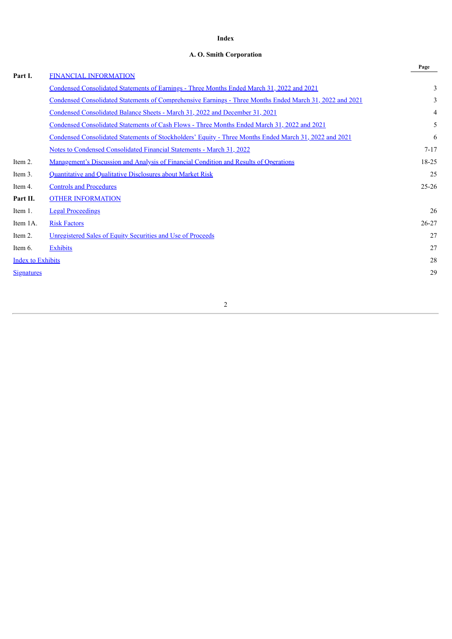# **Index**

# **A. O. Smith Corporation**

|                          |                                                                                                          | Page      |
|--------------------------|----------------------------------------------------------------------------------------------------------|-----------|
| Part I.                  | <b>FINANCIAL INFORMATION</b>                                                                             |           |
|                          | <u>Condensed Consolidated Statements of Earnings - Three Months Ended March 31, 2022 and 2021</u>        | 3         |
|                          | Condensed Consolidated Statements of Comprehensive Earnings - Three Months Ended March 31, 2022 and 2021 | 3         |
|                          | Condensed Consolidated Balance Sheets - March 31, 2022 and December 31, 2021                             | 4         |
|                          | Condensed Consolidated Statements of Cash Flows - Three Months Ended March 31, 2022 and 2021             | 5         |
|                          | Condensed Consolidated Statements of Stockholders' Equity - Three Months Ended March 31, 2022 and 2021   | 6         |
|                          | Notes to Condensed Consolidated Financial Statements - March 31, 2022                                    | $7 - 17$  |
| Item 2.                  | <u>Management's Discussion and Analysis of Financial Condition and Results of Operations</u>             | 18-25     |
| Item 3.                  | Quantitative and Qualitative Disclosures about Market Risk                                               | 25        |
| Item 4.                  | <b>Controls and Procedures</b>                                                                           | $25 - 26$ |
| Part II.                 | <b>OTHER INFORMATION</b>                                                                                 |           |
| Item 1.                  | <b>Legal Proceedings</b>                                                                                 | 26        |
| Item 1A.                 | <b>Risk Factors</b>                                                                                      | $26 - 27$ |
| Item 2.                  | Unregistered Sales of Equity Securities and Use of Proceeds                                              | 27        |
| Item 6.                  | <b>Exhibits</b>                                                                                          | 27        |
| <b>Index to Exhibits</b> |                                                                                                          | 28        |
| <b>Signatures</b>        |                                                                                                          | 29        |
|                          |                                                                                                          |           |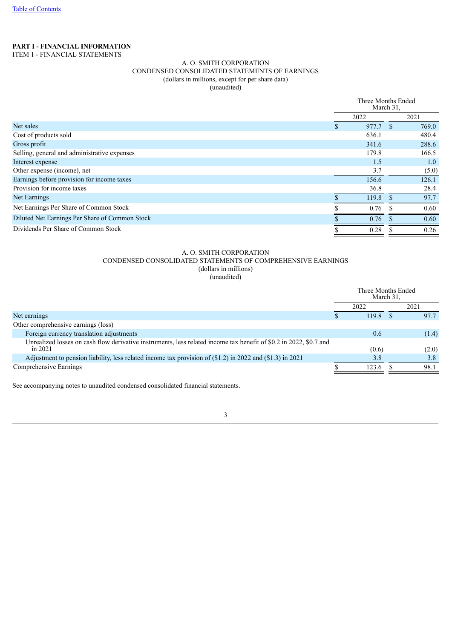# **PART I - FINANCIAL INFORMATION**

<span id="page-2-1"></span><span id="page-2-0"></span>ITEM 1 - FINANCIAL STATEMENTS

# A. O. SMITH CORPORATION CONDENSED CONSOLIDATED STATEMENTS OF EARNINGS (dollars in millions, except for per share data) (unaudited)

|                                                |      | Three Months Ended<br>March 31. |       |  |
|------------------------------------------------|------|---------------------------------|-------|--|
|                                                | 2022 |                                 | 2021  |  |
| Net sales                                      |      | 977.7<br>-8                     | 769.0 |  |
| Cost of products sold                          |      | 636.1                           | 480.4 |  |
| Gross profit                                   |      | 341.6                           | 288.6 |  |
| Selling, general and administrative expenses   |      | 179.8                           | 166.5 |  |
| Interest expense                               |      | 1.5                             | 1.0   |  |
| Other expense (income), net                    |      | 3.7                             | (5.0) |  |
| Earnings before provision for income taxes     |      | 156.6                           | 126.1 |  |
| Provision for income taxes                     |      | 36.8                            | 28.4  |  |
| Net Earnings                                   |      | 119.8                           | 97.7  |  |
| Net Earnings Per Share of Common Stock         |      | 0.76                            | 0.60  |  |
| Diluted Net Earnings Per Share of Common Stock |      | 0.76                            | 0.60  |  |
| Dividends Per Share of Common Stock            |      | 0.28                            | 0.26  |  |

# A. O. SMITH CORPORATION

# CONDENSED CONSOLIDATED STATEMENTS OF COMPREHENSIVE EARNINGS

# (dollars in millions)

(unaudited)

<span id="page-2-2"></span>

|                                                                                                                                 | Three Months Ended<br>March 31. |  |       |
|---------------------------------------------------------------------------------------------------------------------------------|---------------------------------|--|-------|
|                                                                                                                                 | 2022                            |  | 2021  |
| Net earnings                                                                                                                    | 119.8                           |  | 97.7  |
| Other comprehensive earnings (loss)                                                                                             |                                 |  |       |
| Foreign currency translation adjustments                                                                                        | 0.6                             |  | (1.4) |
| Unrealized losses on cash flow derivative instruments, less related income tax benefit of \$0.2 in 2022, \$0.7 and<br>in $2021$ | (0.6)                           |  | (2.0) |
| Adjustment to pension liability, less related income tax provision of $(\$1.2)$ in 2022 and $(\$1.3)$ in 2021                   | 3.8                             |  | 3.8   |
| Comprehensive Earnings                                                                                                          | 123.6                           |  | 98.1  |
|                                                                                                                                 |                                 |  |       |

<span id="page-2-3"></span>See accompanying notes to unaudited condensed consolidated financial statements.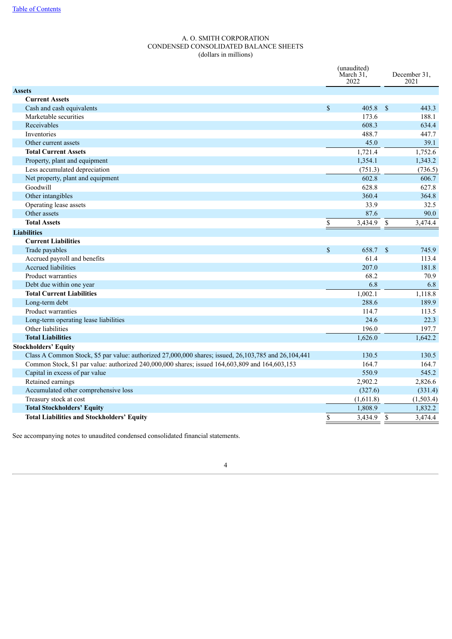# A. O. SMITH CORPORATION CONDENSED CONSOLIDATED BALANCE SHEETS (dollars in millions)

|                                                                                                      |               | (unaudited)<br>March 31,<br>2022 |                    | December 31,<br>2021 |
|------------------------------------------------------------------------------------------------------|---------------|----------------------------------|--------------------|----------------------|
| <b>Assets</b>                                                                                        |               |                                  |                    |                      |
| <b>Current Assets</b>                                                                                |               |                                  |                    |                      |
| Cash and cash equivalents                                                                            | \$            | 405.8                            | <sup>\$</sup>      | 443.3                |
| Marketable securities                                                                                |               | 173.6                            |                    | 188.1                |
| Receivables                                                                                          |               | 608.3                            |                    | 634.4                |
| Inventories                                                                                          |               | 488.7                            |                    | 447.7                |
| Other current assets                                                                                 |               | 45.0                             |                    | 39.1                 |
| <b>Total Current Assets</b>                                                                          |               | 1,721.4                          |                    | 1,752.6              |
| Property, plant and equipment                                                                        |               | 1,354.1                          |                    | 1,343.2              |
| Less accumulated depreciation                                                                        |               | (751.3)                          |                    | (736.5)              |
| Net property, plant and equipment                                                                    |               | 602.8                            |                    | 606.7                |
| Goodwill                                                                                             |               | 628.8                            |                    | 627.8                |
| Other intangibles                                                                                    |               | 360.4                            |                    | 364.8                |
| Operating lease assets                                                                               |               | 33.9                             |                    | 32.5                 |
| Other assets                                                                                         |               | 87.6                             |                    | 90.0                 |
| <b>Total Assets</b>                                                                                  | \$            | 3,434.9                          | $\mathbb{S}$       | 3,474.4              |
| <b>Liabilities</b>                                                                                   |               |                                  |                    |                      |
| <b>Current Liabilities</b>                                                                           |               |                                  |                    |                      |
| Trade payables                                                                                       | $\mathsf{\$}$ | 658.7                            | $\mathbf{\hat{S}}$ | 745.9                |
| Accrued payroll and benefits                                                                         |               | 61.4                             |                    | 113.4                |
| <b>Accrued liabilities</b>                                                                           |               | 207.0                            |                    | 181.8                |
| Product warranties                                                                                   |               | 68.2                             |                    | 70.9                 |
| Debt due within one year                                                                             |               | 6.8                              |                    | 6.8                  |
| <b>Total Current Liabilities</b>                                                                     |               | 1,002.1                          |                    | 1,118.8              |
| Long-term debt                                                                                       |               | 288.6                            |                    | 189.9                |
| Product warranties                                                                                   |               | 114.7                            |                    | 113.5                |
| Long-term operating lease liabilities                                                                |               | 24.6                             |                    | 22.3                 |
| Other liabilities                                                                                    |               | 196.0                            |                    | 197.7                |
| <b>Total Liabilities</b>                                                                             |               | 1,626.0                          |                    | 1,642.2              |
| <b>Stockholders' Equity</b>                                                                          |               |                                  |                    |                      |
| Class A Common Stock, \$5 par value: authorized 27,000,000 shares; issued, 26,103,785 and 26,104,441 |               | 130.5                            |                    | 130.5                |
| Common Stock, \$1 par value: authorized 240,000,000 shares; issued 164,603,809 and 164,603,153       |               | 164.7                            |                    | 164.7                |
| Capital in excess of par value                                                                       |               | 550.9                            |                    | 545.2                |
| Retained earnings                                                                                    |               | 2,902.2                          |                    | 2,826.6              |
| Accumulated other comprehensive loss                                                                 |               | (327.6)                          |                    | (331.4)              |
| Treasury stock at cost                                                                               |               | (1,611.8)                        |                    | (1,503.4)            |
| <b>Total Stockholders' Equity</b>                                                                    |               | 1,808.9                          |                    | 1,832.2              |
| <b>Total Liabilities and Stockholders' Equity</b>                                                    | \$            | 3,434.9                          | \$                 | 3,474.4              |

<span id="page-3-0"></span>See accompanying notes to unaudited condensed consolidated financial statements.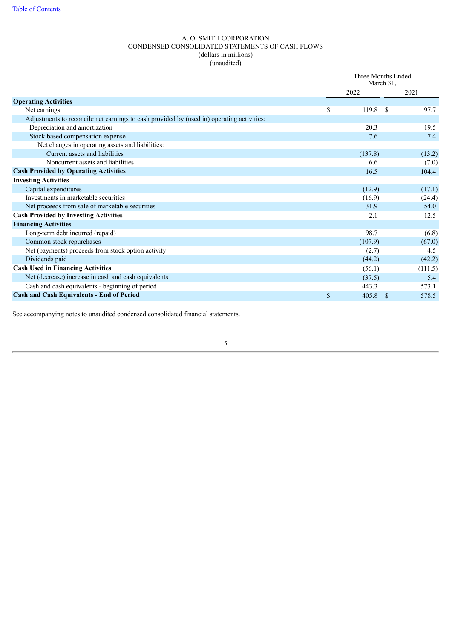# A. O. SMITH CORPORATION CONDENSED CONSOLIDATED STATEMENTS OF CASH FLOWS (dollars in millions) (unaudited)

|                                                                                           | Three Months Ended<br>March 31. |         |               |         |
|-------------------------------------------------------------------------------------------|---------------------------------|---------|---------------|---------|
|                                                                                           |                                 | 2022    |               | 2021    |
| <b>Operating Activities</b>                                                               |                                 |         |               |         |
| Net earnings                                                                              | \$                              | 119.8   | \$            | 97.7    |
| Adjustments to reconcile net earnings to cash provided by (used in) operating activities: |                                 |         |               |         |
| Depreciation and amortization                                                             |                                 | 20.3    |               | 19.5    |
| Stock based compensation expense                                                          |                                 | 7.6     |               | 7.4     |
| Net changes in operating assets and liabilities:                                          |                                 |         |               |         |
| Current assets and liabilities                                                            |                                 | (137.8) |               | (13.2)  |
| Noncurrent assets and liabilities                                                         |                                 | 6.6     |               | (7.0)   |
| <b>Cash Provided by Operating Activities</b>                                              |                                 | 16.5    |               | 104.4   |
| <b>Investing Activities</b>                                                               |                                 |         |               |         |
| Capital expenditures                                                                      |                                 | (12.9)  |               | (17.1)  |
| Investments in marketable securities                                                      |                                 | (16.9)  |               | (24.4)  |
| Net proceeds from sale of marketable securities                                           |                                 | 31.9    |               | 54.0    |
| <b>Cash Provided by Investing Activities</b>                                              |                                 | 2.1     |               | 12.5    |
| <b>Financing Activities</b>                                                               |                                 |         |               |         |
| Long-term debt incurred (repaid)                                                          |                                 | 98.7    |               | (6.8)   |
| Common stock repurchases                                                                  |                                 | (107.9) |               | (67.0)  |
| Net (payments) proceeds from stock option activity                                        |                                 | (2.7)   |               | 4.5     |
| Dividends paid                                                                            |                                 | (44.2)  |               | (42.2)  |
| <b>Cash Used in Financing Activities</b>                                                  |                                 | (56.1)  |               | (111.5) |
| Net (decrease) increase in cash and cash equivalents                                      |                                 | (37.5)  |               | 5.4     |
| Cash and cash equivalents - beginning of period                                           |                                 | 443.3   |               | 573.1   |
| <b>Cash and Cash Equivalents - End of Period</b>                                          | \$                              | 405.8   | <sup>\$</sup> | 578.5   |

<span id="page-4-0"></span>See accompanying notes to unaudited condensed consolidated financial statements.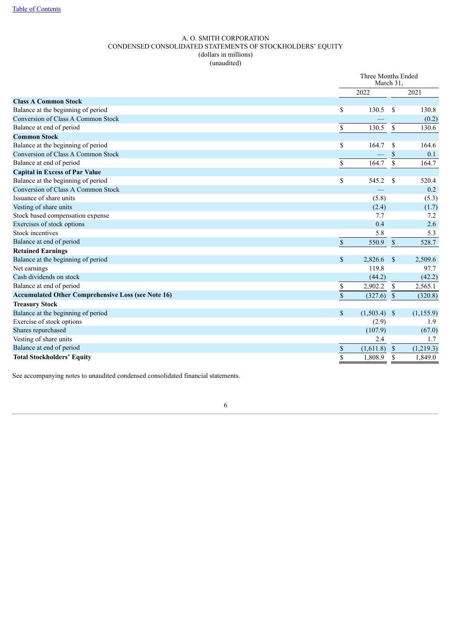# A. O. SMITH CORPORATION CONDENSED CONSOLIDATED STATEMENTS OF STOCKHOLDERS' EQUITY (dollars in millions) (unaudited)

|                                                           |                           | Three Months Ended<br>March 31, |               |            |
|-----------------------------------------------------------|---------------------------|---------------------------------|---------------|------------|
|                                                           |                           | 2022                            |               | 2021       |
| <b>Class A Common Stock</b>                               |                           |                                 |               |            |
| Balance at the beginning of period                        | \$                        | 130.5                           | <sup>\$</sup> | 130.8      |
| Conversion of Class A Common Stock                        |                           |                                 |               | (0.2)      |
| Balance at end of period                                  | $\mathbb{S}$              | 130.5                           | $\mathbb{S}$  | 130.6      |
| <b>Common Stock</b>                                       |                           |                                 |               |            |
| Balance at the beginning of period                        | $\mathbf S$               | 164.7                           | <sup>\$</sup> | 164.6      |
| Conversion of Class A Common Stock                        |                           |                                 | $\mathcal{S}$ | 0.1        |
| Balance at end of period                                  | $\mathbb{S}$              | 164.7                           | \$            | 164.7      |
| <b>Capital in Excess of Par Value</b>                     |                           |                                 |               |            |
| Balance at the beginning of period                        | \$                        | 545.2                           | -S            | 520.4      |
| Conversion of Class A Common Stock                        |                           |                                 |               | 0.2        |
| Issuance of share units                                   |                           | (5.8)                           |               | (5.3)      |
| Vesting of share units                                    |                           | (2.4)                           |               | (1.7)      |
| Stock based compensation expense                          |                           | 7.7                             |               | 7.2        |
| Exercises of stock options                                |                           | 0.4                             |               | 2.6        |
| Stock incentives                                          |                           | 5.8                             |               | 5.3        |
| Balance at end of period                                  | $\mathsf{\$}$             | 550.9                           | $\sqrt{S}$    | 528.7      |
| <b>Retained Earnings</b>                                  |                           |                                 |               |            |
| Balance at the beginning of period                        | $\mathbf{\hat{S}}$        | 2,826.6                         | $\mathcal{S}$ | 2,509.6    |
| Net earnings                                              |                           | 119.8                           |               | 97.7       |
| Cash dividends on stock                                   |                           | (44.2)                          |               | (42.2)     |
| Balance at end of period                                  | $\mathbb{S}$              | 2,902.2                         | $\mathcal{S}$ | 2,565.1    |
| <b>Accumulated Other Comprehensive Loss (see Note 16)</b> | $\mathsf{\$}$             | (327.6)                         | $\mathcal{S}$ | (320.8)    |
| <b>Treasury Stock</b>                                     |                           |                                 |               |            |
| Balance at the beginning of period                        | $\boldsymbol{\mathsf{S}}$ | $(1,503.4)$ \$                  |               | (1, 155.9) |
| Exercise of stock options                                 |                           | (2.9)                           |               | 1.9        |
| Shares repurchased                                        |                           | (107.9)                         |               | (67.0)     |
| Vesting of share units                                    |                           | 2.4                             |               | 1.7        |
| Balance at end of period                                  | \$                        | (1,611.8)                       | $\mathbb{S}$  | (1,219.3)  |
| <b>Total Stockholders' Equity</b>                         | \$                        | 1,808.9                         | \$            | 1,849.0    |
|                                                           |                           |                                 |               |            |

<span id="page-5-0"></span>See accompanying notes to unaudited condensed consolidated financial statements.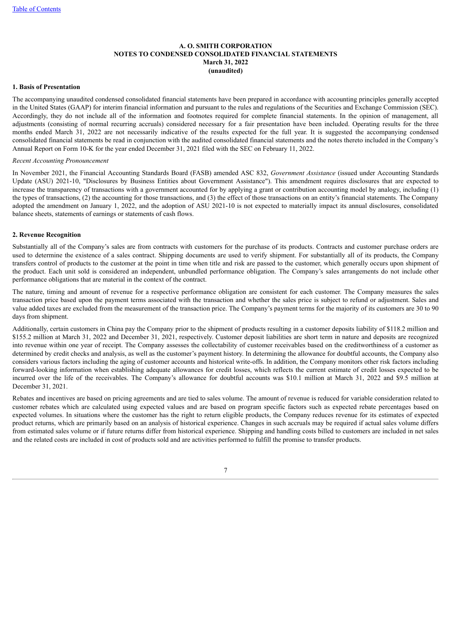# **A. O. SMITH CORPORATION NOTES TO CONDENSED CONSOLIDATED FINANCIAL STATEMENTS March 31, 2022 (unaudited)**

#### **1. Basis of Presentation**

The accompanying unaudited condensed consolidated financial statements have been prepared in accordance with accounting principles generally accepted in the United States (GAAP) for interim financial information and pursuant to the rules and regulations of the Securities and Exchange Commission (SEC). Accordingly, they do not include all of the information and footnotes required for complete financial statements. In the opinion of management, all adjustments (consisting of normal recurring accruals) considered necessary for a fair presentation have been included. Operating results for the three months ended March 31, 2022 are not necessarily indicative of the results expected for the full year. It is suggested the accompanying condensed consolidated financial statements be read in conjunction with the audited consolidated financial statements and the notes thereto included in the Company's Annual Report on Form 10-K for the year ended December 31, 2021 filed with the SEC on February 11, 2022.

#### *Recent Accounting Pronouncement*

In November 2021, the Financial Accounting Standards Board (FASB) amended ASC 832, *Government Assistance* (issued under Accounting Standards Update (ASU) 2021-10, "Disclosures by Business Entities about Government Assistance"). This amendment requires disclosures that are expected to increase the transparency of transactions with a government accounted for by applying a grant or contribution accounting model by analogy, including (1) the types of transactions, (2) the accounting for those transactions, and (3) the effect of those transactions on an entity's financial statements. The Company adopted the amendment on January 1, 2022, and the adoption of ASU 2021-10 is not expected to materially impact its annual disclosures, consolidated balance sheets, statements of earnings or statements of cash flows.

#### **2. Revenue Recognition**

Substantially all of the Company's sales are from contracts with customers for the purchase of its products. Contracts and customer purchase orders are used to determine the existence of a sales contract. Shipping documents are used to verify shipment. For substantially all of its products, the Company transfers control of products to the customer at the point in time when title and risk are passed to the customer, which generally occurs upon shipment of the product. Each unit sold is considered an independent, unbundled performance obligation. The Company's sales arrangements do not include other performance obligations that are material in the context of the contract.

The nature, timing and amount of revenue for a respective performance obligation are consistent for each customer. The Company measures the sales transaction price based upon the payment terms associated with the transaction and whether the sales price is subject to refund or adjustment. Sales and value added taxes are excluded from the measurement of the transaction price. The Company's payment terms for the majority of its customers are 30 to 90 days from shipment.

Additionally, certain customers in China pay the Company prior to the shipment of products resulting in a customer deposits liability of \$118.2 million and \$155.2 million at March 31, 2022 and December 31, 2021, respectively. Customer deposit liabilities are short term in nature and deposits are recognized into revenue within one year of receipt. The Company assesses the collectability of customer receivables based on the creditworthiness of a customer as determined by credit checks and analysis, as well as the customer's payment history. In determining the allowance for doubtful accounts, the Company also considers various factors including the aging of customer accounts and historical write-offs. In addition, the Company monitors other risk factors including forward-looking information when establishing adequate allowances for credit losses, which reflects the current estimate of credit losses expected to be incurred over the life of the receivables. The Company's allowance for doubtful accounts was \$10.1 million at March 31, 2022 and \$9.5 million at December 31, 2021.

Rebates and incentives are based on pricing agreements and are tied to sales volume. The amount of revenue is reduced for variable consideration related to customer rebates which are calculated using expected values and are based on program specific factors such as expected rebate percentages based on expected volumes. In situations where the customer has the right to return eligible products, the Company reduces revenue for its estimates of expected product returns, which are primarily based on an analysis of historical experience. Changes in such accruals may be required if actual sales volume differs from estimated sales volume or if future returns differ from historical experience. Shipping and handling costs billed to customers are included in net sales and the related costs are included in cost of products sold and are activities performed to fulfill the promise to transfer products.

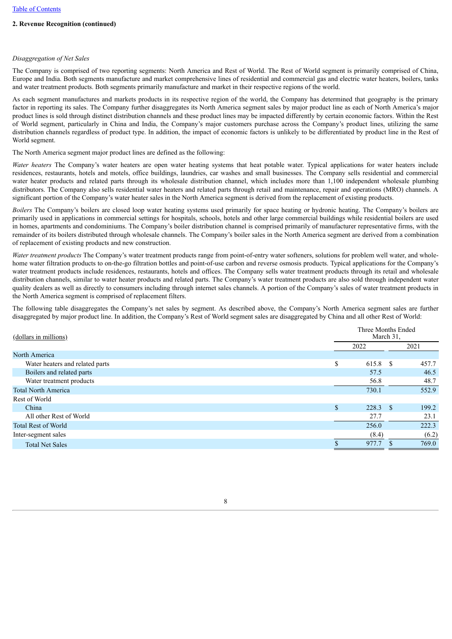# **2. Revenue Recognition (continued)**

#### *Disaggregation of Net Sales*

The Company is comprised of two reporting segments: North America and Rest of World. The Rest of World segment is primarily comprised of China, Europe and India. Both segments manufacture and market comprehensive lines of residential and commercial gas and electric water heaters, boilers, tanks and water treatment products. Both segments primarily manufacture and market in their respective regions of the world.

As each segment manufactures and markets products in its respective region of the world, the Company has determined that geography is the primary factor in reporting its sales. The Company further disaggregates its North America segment sales by major product line as each of North America's major product lines is sold through distinct distribution channels and these product lines may be impacted differently by certain economic factors. Within the Rest of World segment, particularly in China and India, the Company's major customers purchase across the Company's product lines, utilizing the same distribution channels regardless of product type. In addition, the impact of economic factors is unlikely to be differentiated by product line in the Rest of World segment.

The North America segment major product lines are defined as the following:

*Water heaters* The Company's water heaters are open water heating systems that heat potable water. Typical applications for water heaters include residences, restaurants, hotels and motels, office buildings, laundries, car washes and small businesses. The Company sells residential and commercial water heater products and related parts through its wholesale distribution channel, which includes more than 1,100 independent wholesale plumbing distributors. The Company also sells residential water heaters and related parts through retail and maintenance, repair and operations (MRO) channels. A significant portion of the Company's water heater sales in the North America segment is derived from the replacement of existing products.

*Boilers* The Company's boilers are closed loop water heating systems used primarily for space heating or hydronic heating. The Company's boilers are primarily used in applications in commercial settings for hospitals, schools, hotels and other large commercial buildings while residential boilers are used in homes, apartments and condominiums. The Company's boiler distribution channel is comprised primarily of manufacturer representative firms, with the remainder of its boilers distributed through wholesale channels. The Company's boiler sales in the North America segment are derived from a combination of replacement of existing products and new construction.

*Water treatment products* The Company's water treatment products range from point-of-entry water softeners, solutions for problem well water, and wholehome water filtration products to on-the-go filtration bottles and point-of-use carbon and reverse osmosis products. Typical applications for the Company's water treatment products include residences, restaurants, hotels and offices. The Company sells water treatment products through its retail and wholesale distribution channels, similar to water heater products and related parts. The Company's water treatment products are also sold through independent water quality dealers as well as directly to consumers including through internet sales channels. A portion of the Company's sales of water treatment products in the North America segment is comprised of replacement filters.

The following table disaggregates the Company's net sales by segment. As described above, the Company's North America segment sales are further disaggregated by major product line. In addition, the Company's Rest of World segment sales are disaggregated by China and all other Rest of World:

| (dollars in millions)           |              | Three Months Ended<br>March 31, |      |       |  |
|---------------------------------|--------------|---------------------------------|------|-------|--|
|                                 |              | 2022                            |      | 2021  |  |
| North America                   |              |                                 |      |       |  |
| Water heaters and related parts | \$           | 615.8                           | -\$  | 457.7 |  |
| Boilers and related parts       |              | 57.5                            |      | 46.5  |  |
| Water treatment products        |              | 56.8                            |      | 48.7  |  |
| <b>Total North America</b>      |              | 730.1                           |      | 552.9 |  |
| Rest of World                   |              |                                 |      |       |  |
| China                           | $\mathbf{s}$ | 228.3                           | - \$ | 199.2 |  |
| All other Rest of World         |              | 27.7                            |      | 23.1  |  |
| <b>Total Rest of World</b>      |              | 256.0                           |      | 222.3 |  |
| Inter-segment sales             |              | (8.4)                           |      | (6.2) |  |
| <b>Total Net Sales</b>          |              | 977.7                           |      | 769.0 |  |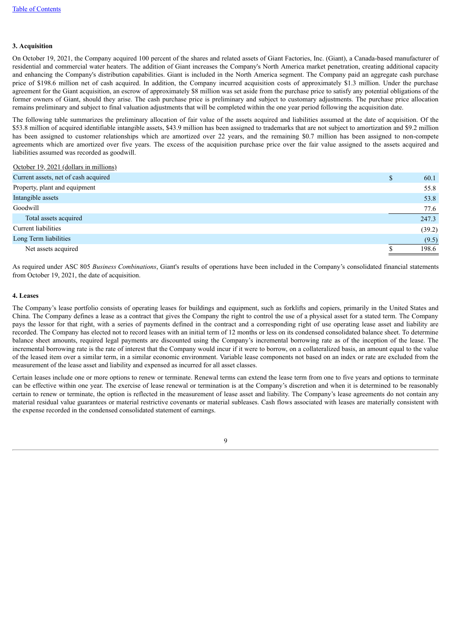### **3. Acquisition**

On October 19, 2021, the Company acquired 100 percent of the shares and related assets of Giant Factories, Inc. (Giant), a Canada-based manufacturer of residential and commercial water heaters. The addition of Giant increases the Company's North America market penetration, creating additional capacity and enhancing the Company's distribution capabilities. Giant is included in the North America segment. The Company paid an aggregate cash purchase price of \$198.6 million net of cash acquired. In addition, the Company incurred acquisition costs of approximately \$1.3 million. Under the purchase agreement for the Giant acquisition, an escrow of approximately \$8 million was set aside from the purchase price to satisfy any potential obligations of the former owners of Giant, should they arise. The cash purchase price is preliminary and subject to customary adjustments. The purchase price allocation remains preliminary and subject to final valuation adjustments that will be completed within the one year period following the acquisition date.

The following table summarizes the preliminary allocation of fair value of the assets acquired and liabilities assumed at the date of acquisition. Of the \$53.8 million of acquired identifiable intangible assets, \$43.9 million has been assigned to trademarks that are not subject to amortization and \$9.2 million has been assigned to customer relationships which are amortized over 22 years, and the remaining \$0.7 million has been assigned to non-compete agreements which are amortized over five years. The excess of the acquisition purchase price over the fair value assigned to the assets acquired and liabilities assumed was recorded as goodwill.

| October 19, 2021 (dollars in millions) |        |
|----------------------------------------|--------|
| Current assets, net of cash acquired   | 60.1   |
| Property, plant and equipment          | 55.8   |
| Intangible assets                      | 53.8   |
| Goodwill                               | 77.6   |
| Total assets acquired                  | 247.3  |
| Current liabilities                    | (39.2) |
| Long Term liabilities                  | (9.5)  |
| Net assets acquired                    | 198.6  |

As required under ASC 805 *Business Combinations*, Giant's results of operations have been included in the Company's consolidated financial statements from October 19, 2021, the date of acquisition.

#### **4. Leases**

The Company's lease portfolio consists of operating leases for buildings and equipment, such as forklifts and copiers, primarily in the United States and China. The Company defines a lease as a contract that gives the Company the right to control the use of a physical asset for a stated term. The Company pays the lessor for that right, with a series of payments defined in the contract and a corresponding right of use operating lease asset and liability are recorded. The Company has elected not to record leases with an initial term of 12 months or less on its condensed consolidated balance sheet. To determine balance sheet amounts, required legal payments are discounted using the Company's incremental borrowing rate as of the inception of the lease. The incremental borrowing rate is the rate of interest that the Company would incur if it were to borrow, on a collateralized basis, an amount equal to the value of the leased item over a similar term, in a similar economic environment. Variable lease components not based on an index or rate are excluded from the measurement of the lease asset and liability and expensed as incurred for all asset classes.

Certain leases include one or more options to renew or terminate. Renewal terms can extend the lease term from one to five years and options to terminate can be effective within one year. The exercise of lease renewal or termination is at the Company's discretion and when it is determined to be reasonably certain to renew or terminate, the option is reflected in the measurement of lease asset and liability. The Company's lease agreements do not contain any material residual value guarantees or material restrictive covenants or material subleases. Cash flows associated with leases are materially consistent with the expense recorded in the condensed consolidated statement of earnings.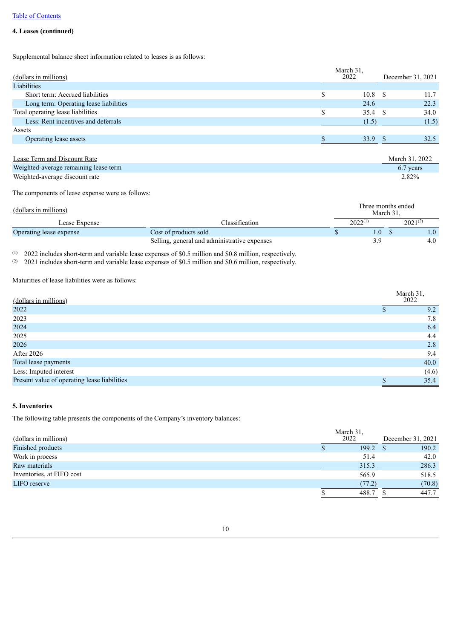# Table of [Contents](#page-0-0)

# **4. Leases (continued)**

Supplemental balance sheet information related to leases is as follows:

| (dollars in millions)                  | March 31.<br>2022 |  | December 31, 2021 |  |
|----------------------------------------|-------------------|--|-------------------|--|
| Liabilities                            |                   |  |                   |  |
| Short term: Accrued liabilities        | 10.8 S            |  | 11.7              |  |
| Long term: Operating lease liabilities | 24.6              |  | 22.3              |  |
| Total operating lease liabilities      | 35.4              |  | 34.0              |  |
| Less: Rent incentives and deferrals    | (1.5)             |  | (1.5)             |  |
| Assets                                 |                   |  |                   |  |
| Operating lease assets                 | 33.9              |  | 32.5              |  |
|                                        |                   |  |                   |  |

| Lease Term and Discount Rate          | March 31, 2022 |
|---------------------------------------|----------------|
| Weighted-average remaining lease term | 6.7 years      |
| Weighted-average discount rate        | 2.82%          |

The components of lease expense were as follows:

| (dollars in millions)   |                                              | Three months ended<br>March 31. |                  |  |                  |  |  |
|-------------------------|----------------------------------------------|---------------------------------|------------------|--|------------------|--|--|
| Lease Expense           | Classification                               |                                 | $2022^{(1)}$     |  | $2021^{(2)}$     |  |  |
| Operating lease expense | Cost of products sold                        |                                 | 1.0 <sup>7</sup> |  | 1.0 <sub>1</sub> |  |  |
|                         | Selling, general and administrative expenses |                                 | 3.9              |  | 4.0              |  |  |

2022 includes short-term and variable lease expenses of \$0.5 million and \$0.8 million, respectively. (1)

 $(2)$  2021 includes short-term and variable lease expenses of \$0.5 million and \$0.6 million, respectively.

Maturities of lease liabilities were as follows:

| (dollars in millions)                        | March 31,<br>2022 |
|----------------------------------------------|-------------------|
| 2022                                         | 9.2               |
| 2023                                         | 7.8               |
| 2024                                         | 6.4               |
| 2025                                         | 4.4               |
| 2026                                         | 2.8               |
| After 2026                                   | 9.4               |
| Total lease payments                         | 40.0              |
| Less: Imputed interest                       | (4.6)             |
| Present value of operating lease liabilities | 35.4              |

# **5. Inventories**

The following table presents the components of the Company's inventory balances:

|                           | March 31. |                   |
|---------------------------|-----------|-------------------|
| (dollars in millions)     | 2022      | December 31, 2021 |
| Finished products         | 199.2     | 190.2             |
| Work in process           | 51.4      | 42.0              |
| Raw materials             | 315.3     | 286.3             |
| Inventories, at FIFO cost | 565.9     | 518.5             |
| LIFO reserve              | (77.2)    | (70.8)            |
|                           | 488.7     | 447.7             |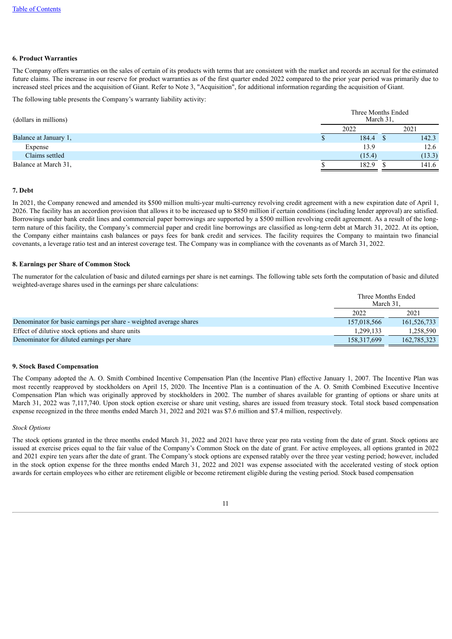#### **6. Product Warranties**

The Company offers warranties on the sales of certain of its products with terms that are consistent with the market and records an accrual for the estimated future claims. The increase in our reserve for product warranties as of the first quarter ended 2022 compared to the prior year period was primarily due to increased steel prices and the acquisition of Giant. Refer to Note 3, "Acquisition", for additional information regarding the acquisition of Giant.

The following table presents the Company's warranty liability activity:

| (dollars in millions) |    | Three Months Ended<br>March 31 |  |        |  |  |  |  |  |  |
|-----------------------|----|--------------------------------|--|--------|--|--|--|--|--|--|
|                       |    | 2022                           |  | 2021   |  |  |  |  |  |  |
| Balance at January 1, | ۰D | 184.4                          |  | 142.3  |  |  |  |  |  |  |
| Expense               |    | 13.9                           |  | 12.6   |  |  |  |  |  |  |
| Claims settled        |    | (15.4)                         |  | (13.3) |  |  |  |  |  |  |
| Balance at March 31,  |    | 182.9                          |  | 141.6  |  |  |  |  |  |  |

#### **7. Debt**

In 2021, the Company renewed and amended its \$500 million multi-year multi-currency revolving credit agreement with a new expiration date of April 1, 2026. The facility has an accordion provision that allows it to be increased up to \$850 million if certain conditions (including lender approval) are satisfied. Borrowings under bank credit lines and commercial paper borrowings are supported by a \$500 million revolving credit agreement. As a result of the longterm nature of this facility, the Company's commercial paper and credit line borrowings are classified as long-term debt at March 31, 2022. At its option, the Company either maintains cash balances or pays fees for bank credit and services. The facility requires the Company to maintain two financial covenants, a leverage ratio test and an interest coverage test. The Company was in compliance with the covenants as of March 31, 2022.

#### **8. Earnings per Share of Common Stock**

The numerator for the calculation of basic and diluted earnings per share is net earnings. The following table sets forth the computation of basic and diluted weighted-average shares used in the earnings per share calculations:

|                                                                    | Three Months Ended<br>March 31. |             |
|--------------------------------------------------------------------|---------------------------------|-------------|
|                                                                    | 2022                            | 2021        |
| Denominator for basic earnings per share - weighted average shares | 157,018,566                     | 161,526,733 |
| Effect of dilutive stock options and share units                   | 1.299.133                       | 1.258.590   |
| Denominator for diluted earnings per share                         | 158, 317, 699                   | 162,785,323 |

#### **9. Stock Based Compensation**

The Company adopted the A. O. Smith Combined Incentive Compensation Plan (the Incentive Plan) effective January 1, 2007. The Incentive Plan was most recently reapproved by stockholders on April 15, 2020. The Incentive Plan is a continuation of the A. O. Smith Combined Executive Incentive Compensation Plan which was originally approved by stockholders in 2002. The number of shares available for granting of options or share units at March 31, 2022 was 7,117,740. Upon stock option exercise or share unit vesting, shares are issued from treasury stock. Total stock based compensation expense recognized in the three months ended March 31, 2022 and 2021 was \$7.6 million and \$7.4 million, respectively.

## *Stock Options*

The stock options granted in the three months ended March 31, 2022 and 2021 have three year pro rata vesting from the date of grant. Stock options are issued at exercise prices equal to the fair value of the Company's Common Stock on the date of grant. For active employees, all options granted in 2022 and 2021 expire ten years after the date of grant. The Company's stock options are expensed ratably over the three year vesting period; however, included in the stock option expense for the three months ended March 31, 2022 and 2021 was expense associated with the accelerated vesting of stock option awards for certain employees who either are retirement eligible or become retirement eligible during the vesting period. Stock based compensation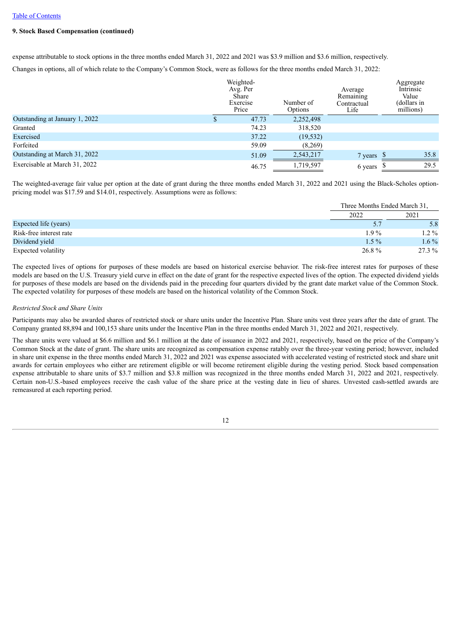### **9. Stock Based Compensation (continued)**

expense attributable to stock options in the three months ended March 31, 2022 and 2021 was \$3.9 million and \$3.6 million, respectively. Changes in options, all of which relate to the Company's Common Stock, were as follows for the three months ended March 31, 2022:

|                                | Weighted-<br>Avg. Per<br>Share<br>Exercise<br>Price | Number of<br>Options | Average<br>Remaining<br>Contractual<br>Life | Aggregate<br>Intrinsic<br>Value<br>(dollars in<br>millions) |
|--------------------------------|-----------------------------------------------------|----------------------|---------------------------------------------|-------------------------------------------------------------|
| Outstanding at January 1, 2022 | 47.73                                               | 2,252,498            |                                             |                                                             |
| Granted                        | 74.23                                               | 318,520              |                                             |                                                             |
| Exercised                      | 37.22                                               | (19, 532)            |                                             |                                                             |
| Forfeited                      | 59.09                                               | (8,269)              |                                             |                                                             |
| Outstanding at March 31, 2022  | 51.09                                               | 2,543,217            | 7 years                                     | 35.8                                                        |
| Exercisable at March 31, 2022  | 46.75                                               | 1,719,597            | 6 years                                     | 29.5                                                        |

The weighted-average fair value per option at the date of grant during the three months ended March 31, 2022 and 2021 using the Black-Scholes optionpricing model was \$17.59 and \$14.01, respectively. Assumptions were as follows:

|                         | Three Months Ended March 31. |          |
|-------------------------|------------------------------|----------|
|                         | 2022                         | 2021     |
| Expected life (years)   |                              | 5.8      |
| Risk-free interest rate | $1.9\%$                      | $1.2\%$  |
| Dividend yield          | $1.5\%$                      | $1.6\%$  |
| Expected volatility     | 26.8%                        | $27.3\%$ |

The expected lives of options for purposes of these models are based on historical exercise behavior. The risk-free interest rates for purposes of these models are based on the U.S. Treasury yield curve in effect on the date of grant for the respective expected lives of the option. The expected dividend yields for purposes of these models are based on the dividends paid in the preceding four quarters divided by the grant date market value of the Common Stock. The expected volatility for purposes of these models are based on the historical volatility of the Common Stock.

#### *Restricted Stock and Share Units*

Participants may also be awarded shares of restricted stock or share units under the Incentive Plan. Share units vest three years after the date of grant. The Company granted 88,894 and 100,153 share units under the Incentive Plan in the three months ended March 31, 2022 and 2021, respectively.

The share units were valued at \$6.6 million and \$6.1 million at the date of issuance in 2022 and 2021, respectively, based on the price of the Company's Common Stock at the date of grant. The share units are recognized as compensation expense ratably over the three-year vesting period; however, included in share unit expense in the three months ended March 31, 2022 and 2021 was expense associated with accelerated vesting of restricted stock and share unit awards for certain employees who either are retirement eligible or will become retirement eligible during the vesting period. Stock based compensation expense attributable to share units of \$3.7 million and \$3.8 million was recognized in the three months ended March 31, 2022 and 2021, respectively. Certain non-U.S.-based employees receive the cash value of the share price at the vesting date in lieu of shares. Unvested cash-settled awards are remeasured at each reporting period.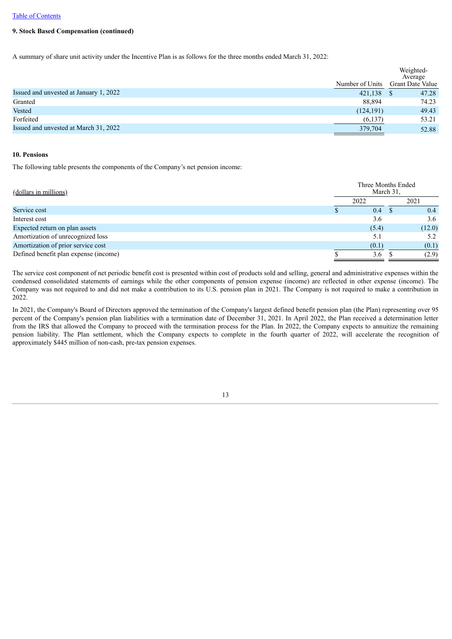#### **9. Stock Based Compensation (continued)**

A summary of share unit activity under the Incentive Plan is as follows for the three months ended March 31, 2022:

|                                        |                 | Weighted-<br>Average    |
|----------------------------------------|-----------------|-------------------------|
|                                        | Number of Units | <b>Grant Date Value</b> |
| Issued and unvested at January 1, 2022 | 421,138         | 47.28                   |
| Granted                                | 88.894          | 74.23                   |
| Vested                                 | (124, 191)      | 49.43                   |
| Forfeited                              | (6, 137)        | 53.21                   |
| Issued and unvested at March 31, 2022  | 379,704         | 52.88                   |

# **10. Pensions**

The following table presents the components of the Company's net pension income:

| (dollars in millions)                 |      | Three Months Ended<br>March 31. |  |        |  |  |  |  |  |
|---------------------------------------|------|---------------------------------|--|--------|--|--|--|--|--|
|                                       | 2022 |                                 |  | 2021   |  |  |  |  |  |
| Service cost                          |      | 0.4                             |  | 0.4    |  |  |  |  |  |
| Interest cost                         |      | 3.6                             |  | 3.6    |  |  |  |  |  |
| Expected return on plan assets        |      | (5.4)                           |  | (12.0) |  |  |  |  |  |
| Amortization of unrecognized loss     |      | 5.1                             |  | 5.2    |  |  |  |  |  |
| Amortization of prior service cost    |      | (0.1)                           |  | (0.1)  |  |  |  |  |  |
| Defined benefit plan expense (income) |      | 3.6                             |  | (2.9)  |  |  |  |  |  |
|                                       |      |                                 |  |        |  |  |  |  |  |

The service cost component of net periodic benefit cost is presented within cost of products sold and selling, general and administrative expenses within the condensed consolidated statements of earnings while the other components of pension expense (income) are reflected in other expense (income). The Company was not required to and did not make a contribution to its U.S. pension plan in 2021. The Company is not required to make a contribution in 2022.

In 2021, the Company's Board of Directors approved the termination of the Company's largest defined benefit pension plan (the Plan) representing over 95 percent of the Company's pension plan liabilities with a termination date of December 31, 2021. In April 2022, the Plan received a determination letter from the IRS that allowed the Company to proceed with the termination process for the Plan. In 2022, the Company expects to annuitize the remaining pension liability. The Plan settlement, which the Company expects to complete in the fourth quarter of 2022, will accelerate the recognition of approximately \$445 million of non-cash, pre-tax pension expenses.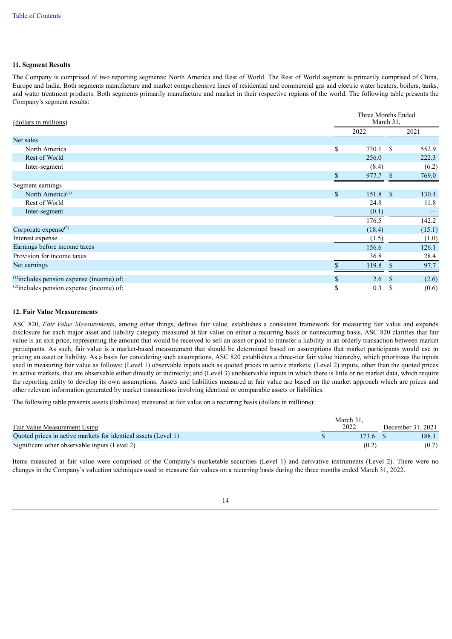## **11. Segment Results**

The Company is comprised of two reporting segments: North America and Rest of World. The Rest of World segment is primarily comprised of China, Europe and India. Both segments manufacture and market comprehensive lines of residential and commercial gas and electric water heaters, boilers, tanks, and water treatment products. Both segments primarily manufacture and market in their respective regions of the world. The following table presents the Company's segment results:

| (dollars in millions)                          |              | Three Months Ended<br>March 31, |               |        |
|------------------------------------------------|--------------|---------------------------------|---------------|--------|
|                                                |              | 2022                            |               | 2021   |
| Net sales                                      |              |                                 |               |        |
| North America                                  | \$           | 730.1                           | <sup>\$</sup> | 552.9  |
| Rest of World                                  |              | 256.0                           |               | 222.3  |
| Inter-segment                                  |              | (8.4)                           |               | (6.2)  |
|                                                |              | 977.7                           | <sup>\$</sup> | 769.0  |
| Segment earnings                               |              |                                 |               |        |
| North America <sup>(1)</sup>                   | $\mathbb{S}$ | 151.8 \$                        |               | 130.4  |
| Rest of World                                  |              | 24.8                            |               | 11.8   |
| Inter-segment                                  |              | (0.1)                           |               |        |
|                                                |              | 176.5                           |               | 142.2  |
| Corporate $expense^{(2)}$                      |              | (18.4)                          |               | (15.1) |
| Interest expense                               |              | (1.5)                           |               | (1.0)  |
| Earnings before income taxes                   |              | 156.6                           |               | 126.1  |
| Provision for income taxes                     |              | 36.8                            |               | 28.4   |
| Net earnings                                   |              | 119.8                           | <sup>\$</sup> | 97.7   |
| $^{(1)}$ includes pension expense (income) of: | \$           | 2.6                             | <sup>S</sup>  | (2.6)  |
| $^{(2)}$ includes pension expense (income) of: | \$           | 0.3                             | \$            | (0.6)  |

# **12. Fair Value Measurements**

ASC 820, *Fair Value Measurements*, among other things, defines fair value, establishes a consistent framework for measuring fair value and expands disclosure for each major asset and liability category measured at fair value on either a recurring basis or nonrecurring basis. ASC 820 clarifies that fair value is an exit price, representing the amount that would be received to sell an asset or paid to transfer a liability in an orderly transaction between market participants. As such, fair value is a market-based measurement that should be determined based on assumptions that market participants would use in pricing an asset or liability. As a basis for considering such assumptions, ASC 820 establishes a three-tier fair value hierarchy, which prioritizes the inputs used in measuring fair value as follows: (Level 1) observable inputs such as quoted prices in active markets; (Level 2) inputs, other than the quoted prices in active markets, that are observable either directly or indirectly; and (Level 3) unobservable inputs in which there is little or no market data, which require the reporting entity to develop its own assumptions. Assets and liabilities measured at fair value are based on the market approach which are prices and other relevant information generated by market transactions involving identical or comparable assets or liabilities.

The following table presents assets (liabilities) measured at fair value on a recurring basis (dollars in millions):

| Fair Value Measurement Using                                   | March 31.<br>2022 | December 31, 2021 |
|----------------------------------------------------------------|-------------------|-------------------|
| Quoted prices in active markets for identical assets (Level 1) | 173.6             | 188.1             |
| Significant other observable inputs (Level 2)                  | (0.2)             | (0.7)             |

Items measured at fair value were comprised of the Company's marketable securities (Level 1) and derivative instruments (Level 2). There were no changes in the Company's valuation techniques used to measure fair values on a recurring basis during the three months ended March 31, 2022.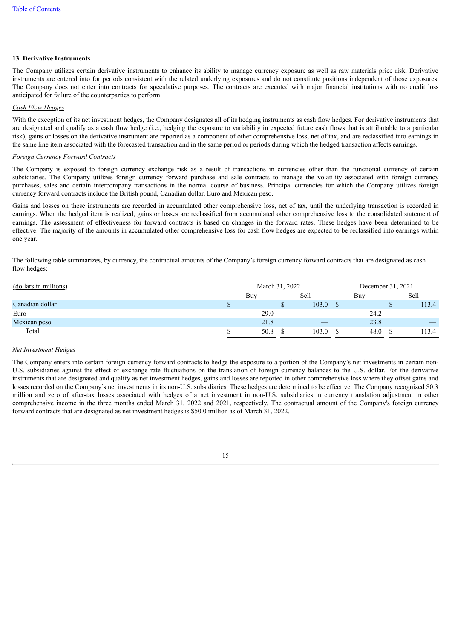#### **13. Derivative Instruments**

The Company utilizes certain derivative instruments to enhance its ability to manage currency exposure as well as raw materials price risk. Derivative instruments are entered into for periods consistent with the related underlying exposures and do not constitute positions independent of those exposures. The Company does not enter into contracts for speculative purposes. The contracts are executed with major financial institutions with no credit loss anticipated for failure of the counterparties to perform.

#### *Cash Flow Hedges*

With the exception of its net investment hedges, the Company designates all of its hedging instruments as cash flow hedges. For derivative instruments that are designated and qualify as a cash flow hedge (i.e., hedging the exposure to variability in expected future cash flows that is attributable to a particular risk), gains or losses on the derivative instrument are reported as a component of other comprehensive loss, net of tax, and are reclassified into earnings in the same line item associated with the forecasted transaction and in the same period or periods during which the hedged transaction affects earnings.

#### *Foreign Currency Forward Contracts*

The Company is exposed to foreign currency exchange risk as a result of transactions in currencies other than the functional currency of certain subsidiaries. The Company utilizes foreign currency forward purchase and sale contracts to manage the volatility associated with foreign currency purchases, sales and certain intercompany transactions in the normal course of business. Principal currencies for which the Company utilizes foreign currency forward contracts include the British pound, Canadian dollar, Euro and Mexican peso.

Gains and losses on these instruments are recorded in accumulated other comprehensive loss, net of tax, until the underlying transaction is recorded in earnings. When the hedged item is realized, gains or losses are reclassified from accumulated other comprehensive loss to the consolidated statement of earnings. The assessment of effectiveness for forward contracts is based on changes in the forward rates. These hedges have been determined to be effective. The majority of the amounts in accumulated other comprehensive loss for cash flow hedges are expected to be reclassified into earnings within one year.

The following table summarizes, by currency, the contractual amounts of the Company's foreign currency forward contracts that are designated as cash flow hedges:

| (dollars in millions) | March 31, 2022 |                                 |  |                          |                                | December 31, 2021 |       |  |  |
|-----------------------|----------------|---------------------------------|--|--------------------------|--------------------------------|-------------------|-------|--|--|
|                       |                | Buy                             |  | <b>Sell</b>              | Buy                            |                   | Sell  |  |  |
| Canadian dollar       |                | $\hspace{0.1mm}-\hspace{0.1mm}$ |  | 103.0                    | $\qquad \qquad \longleftarrow$ |                   | 113.4 |  |  |
| Euro                  |                | 29.0                            |  | $\overline{\phantom{a}}$ | 24.2                           |                   | —     |  |  |
| Mexican peso          |                | 21.8                            |  |                          | 23.8                           |                   |       |  |  |
| Total                 |                | 50.8                            |  | 103.0                    | 48.0                           |                   | 113.4 |  |  |

#### *Net Investment Hedges*

The Company enters into certain foreign currency forward contracts to hedge the exposure to a portion of the Company's net investments in certain non-U.S. subsidiaries against the effect of exchange rate fluctuations on the translation of foreign currency balances to the U.S. dollar. For the derivative instruments that are designated and qualify as net investment hedges, gains and losses are reported in other comprehensive loss where they offset gains and losses recorded on the Company's net investments in its non-U.S. subsidiaries. These hedges are determined to be effective. The Company recognized \$0.3 million and zero of after-tax losses associated with hedges of a net investment in non-U.S. subsidiaries in currency translation adjustment in other comprehensive income in the three months ended March 31, 2022 and 2021, respectively. The contractual amount of the Company's foreign currency forward contracts that are designated as net investment hedges is \$50.0 million as of March 31, 2022.

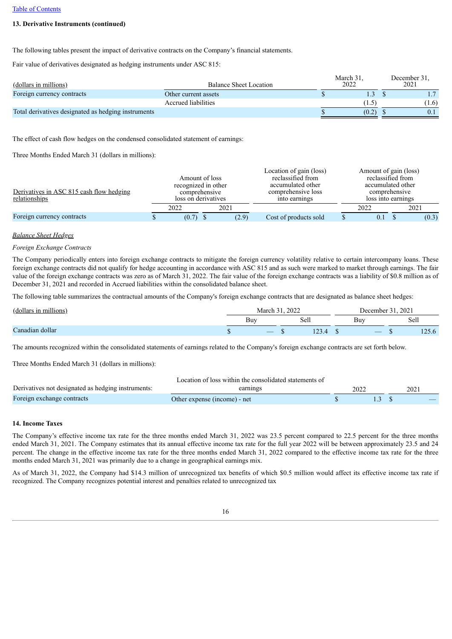# **13. Derivative Instruments (continued)**

The following tables present the impact of derivative contracts on the Company's financial statements.

Fair value of derivatives designated as hedging instruments under ASC 815:

| (dollars in millions)                               | Balance Sheet Location | March 31<br>2022 | December 31.<br>2021 |
|-----------------------------------------------------|------------------------|------------------|----------------------|
| Foreign currency contracts                          | Other current assets   |                  |                      |
|                                                     | Accrued liabilities    |                  | (1.6)                |
| Total derivatives designated as hedging instruments |                        | (0.2)            |                      |

The effect of cash flow hedges on the condensed consolidated statement of earnings:

Three Months Ended March 31 (dollars in millions):

| Derivatives in ASC 815 cash flow hedging<br>relationships | Amount of loss<br>recognized in other<br>comprehensive<br>loss on derivatives |  |       | Location of gain (loss)<br>reclassified from<br>accumulated other<br>comprehensive loss<br>into earnings |  | Amount of gain (loss)<br>reclassified from<br>accumulated other<br>comprehensive<br>loss into earnings |  |       |  |  |
|-----------------------------------------------------------|-------------------------------------------------------------------------------|--|-------|----------------------------------------------------------------------------------------------------------|--|--------------------------------------------------------------------------------------------------------|--|-------|--|--|
|                                                           | 2022                                                                          |  | 2021  |                                                                                                          |  | 2022                                                                                                   |  | 2021  |  |  |
| Foreign currency contracts                                | $(0.7)$ \$                                                                    |  | (2.9) | Cost of products sold                                                                                    |  | 0.1                                                                                                    |  | (0.3) |  |  |

#### *Balance Sheet Hedges*

#### *Foreign Exchange Contracts*

The Company periodically enters into foreign exchange contracts to mitigate the foreign currency volatility relative to certain intercompany loans. These foreign exchange contracts did not qualify for hedge accounting in accordance with ASC 815 and as such were marked to market through earnings. The fair value of the foreign exchange contracts was zero as of March 31, 2022. The fair value of the foreign exchange contracts was a liability of \$0.8 million as of December 31, 2021 and recorded in Accrued liabilities within the consolidated balance sheet.

The following table summarizes the contractual amounts of the Company's foreign exchange contracts that are designated as balance sheet hedges:

| <br>(dollar<br>Hion       | 2022<br>March |                        |  |                 | Jecember                 | 2021<br>$\sim$ |               |  |
|---------------------------|---------------|------------------------|--|-----------------|--------------------------|----------------|---------------|--|
|                           |               | Buy                    |  | Sell            | Buy                      |                | Sell          |  |
| Canadian dollar<br>$\sim$ |               | <b>Service Service</b> |  | $\sim$<br>12J.T | $\overline{\phantom{0}}$ |                | 1251<br>129.0 |  |

The amounts recognized within the consolidated statements of earnings related to the Company's foreign exchange contracts are set forth below.

Three Months Ended March 31 (dollars in millions):

|                                                    | Location of loss within the consolidated statements of |      |  |      |
|----------------------------------------------------|--------------------------------------------------------|------|--|------|
| Derivatives not designated as hedging instruments: | earnings                                               | 2022 |  | 2021 |
| Foreign exchange contracts                         | Other expense (income) - net                           |      |  |      |

# **14. Income Taxes**

The Company's effective income tax rate for the three months ended March 31, 2022 was 23.5 percent compared to 22.5 percent for the three months ended March 31, 2021. The Company estimates that its annual effective income tax rate for the full year 2022 will be between approximately 23.5 and 24 percent. The change in the effective income tax rate for the three months ended March 31, 2022 compared to the effective income tax rate for the three months ended March 31, 2021 was primarily due to a change in geographical earnings mix.

As of March 31, 2022, the Company had \$14.3 million of unrecognized tax benefits of which \$0.5 million would affect its effective income tax rate if recognized. The Company recognizes potential interest and penalties related to unrecognized tax

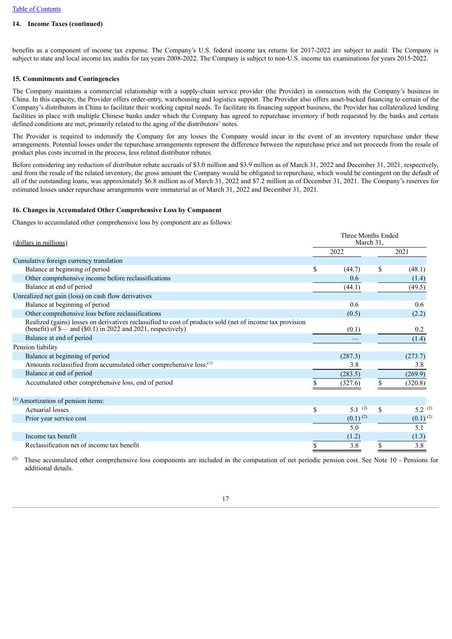# **14. Income Taxes (continued)**

benefits as a component of income tax expense. The Company's U.S. federal income tax returns for 2017-2022 are subject to audit. The Company is subject to state and local income tax audits for tax years 2008-2022. The Company is subject to non-U.S. income tax examinations for years 2015-2022.

#### **15. Commitments and Contingencies**

The Company maintains a commercial relationship with a supply-chain service provider (the Provider) in connection with the Company's business in China. In this capacity, the Provider offers order-entry, warehousing and logistics support. The Provider also offers asset-backed financing to certain of the Company's distributors in China to facilitate their working capital needs. To facilitate its financing support business, the Provider has collateralized lending facilities in place with multiple Chinese banks under which the Company has agreed to repurchase inventory if both requested by the banks and certain defined conditions are met, primarily related to the aging of the distributors' notes.

The Provider is required to indemnify the Company for any losses the Company would incur in the event of an inventory repurchase under these arrangements. Potential losses under the repurchase arrangements represent the difference between the repurchase price and net proceeds from the resale of product plus costs incurred in the process, less related distributor rebates.

Before considering any reduction of distributor rebate accruals of \$3.0 million and \$3.9 million as of March 31, 2022 and December 31, 2021, respectively, and from the resale of the related inventory, the gross amount the Company would be obligated to repurchase, which would be contingent on the default of all of the outstanding loans, was approximately \$6.8 million as of March 31, 2022 and \$7.2 million as of December 31, 2021. The Company's reserves for estimated losses under repurchase arrangements were immaterial as of March 31, 2022 and December 31, 2021.

#### <span id="page-16-0"></span>**16. Changes in Accumulated Other Comprehensive Loss by Component**

Changes to accumulated other comprehensive loss by component are as follows:

| (dollars in millions)                                                                                                                                                               |    | Three Months Ended<br>March 31, |                    |               |  |  |  |
|-------------------------------------------------------------------------------------------------------------------------------------------------------------------------------------|----|---------------------------------|--------------------|---------------|--|--|--|
|                                                                                                                                                                                     |    | 2022                            |                    | 2021          |  |  |  |
| Cumulative foreign currency translation                                                                                                                                             |    |                                 |                    |               |  |  |  |
| Balance at beginning of period                                                                                                                                                      | \$ | (44.7)                          | \$                 | (48.1)        |  |  |  |
| Other comprehensive income before reclassifications                                                                                                                                 |    | 0.6                             |                    | (1.4)         |  |  |  |
| Balance at end of period                                                                                                                                                            |    | (44.1)                          |                    | (49.5)        |  |  |  |
| Unrealized net gain (loss) on cash flow derivatives                                                                                                                                 |    |                                 |                    |               |  |  |  |
| Balance at beginning of period                                                                                                                                                      |    | 0.6                             |                    | 0.6           |  |  |  |
| Other comprehensive loss before reclassifications                                                                                                                                   |    | (0.5)                           |                    | (2.2)         |  |  |  |
| Realized (gains) losses on derivatives reclassified to cost of products sold (net of income tax provision<br>(benefit) of $\frac{1}{2}$ and (\$0.1) in 2022 and 2021, respectively) |    | (0.1)                           |                    | 0.2           |  |  |  |
| Balance at end of period                                                                                                                                                            |    |                                 |                    | (1.4)         |  |  |  |
| Pension liability                                                                                                                                                                   |    |                                 |                    |               |  |  |  |
| Balance at beginning of period                                                                                                                                                      |    | (287.3)                         |                    | (273.7)       |  |  |  |
| Amounts reclassified from accumulated other comprehensive loss: <sup>(1)</sup>                                                                                                      |    | 3.8                             |                    | 3.8           |  |  |  |
| Balance at end of period                                                                                                                                                            |    | (283.5)                         |                    | (269.9)       |  |  |  |
| Accumulated other comprehensive loss, end of period                                                                                                                                 |    | (327.6)                         |                    | (320.8)       |  |  |  |
| $(1)$ Amortization of pension items:                                                                                                                                                |    |                                 |                    |               |  |  |  |
| <b>Actuarial losses</b>                                                                                                                                                             | \$ | (2)<br>5.1                      | $\mathbf{\hat{S}}$ | $5.2^{(2)}$   |  |  |  |
| Prior year service cost                                                                                                                                                             |    | $(0.1)^{(2)}$                   |                    | $(0.1)^{(2)}$ |  |  |  |
|                                                                                                                                                                                     |    | 5.0                             |                    | 5.1           |  |  |  |
| Income tax benefit                                                                                                                                                                  |    | (1.2)                           |                    | (1.3)         |  |  |  |
| Reclassification net of income tax benefit                                                                                                                                          | \$ | 3.8                             |                    | 3.8           |  |  |  |

<span id="page-16-1"></span>These accumulated other comprehensive loss components are included in the computation of net periodic pension cost. See Note 10 - Pensions for additional details. (2)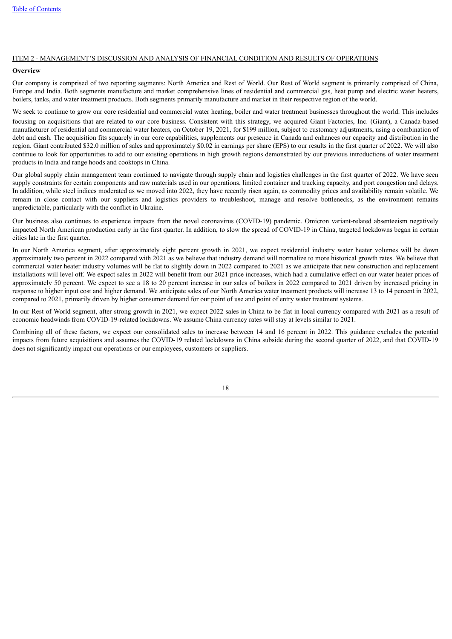#### ITEM 2 - MANAGEMENT'S DISCUSSION AND ANALYSIS OF FINANCIAL CONDITION AND RESULTS OF OPERATIONS

#### **Overview**

Our company is comprised of two reporting segments: North America and Rest of World. Our Rest of World segment is primarily comprised of China, Europe and India. Both segments manufacture and market comprehensive lines of residential and commercial gas, heat pump and electric water heaters, boilers, tanks, and water treatment products. Both segments primarily manufacture and market in their respective region of the world.

We seek to continue to grow our core residential and commercial water heating, boiler and water treatment businesses throughout the world. This includes focusing on acquisitions that are related to our core business. Consistent with this strategy, we acquired Giant Factories, Inc. (Giant), a Canada-based manufacturer of residential and commercial water heaters, on October 19, 2021, for \$199 million, subject to customary adjustments, using a combination of debt and cash. The acquisition fits squarely in our core capabilities, supplements our presence in Canada and enhances our capacity and distribution in the region. Giant contributed \$32.0 million of sales and approximately \$0.02 in earnings per share (EPS) to our results in the first quarter of 2022. We will also continue to look for opportunities to add to our existing operations in high growth regions demonstrated by our previous introductions of water treatment products in India and range hoods and cooktops in China.

Our global supply chain management team continued to navigate through supply chain and logistics challenges in the first quarter of 2022. We have seen supply constraints for certain components and raw materials used in our operations, limited container and trucking capacity, and port congestion and delays. In addition, while steel indices moderated as we moved into 2022, they have recently risen again, as commodity prices and availability remain volatile. We remain in close contact with our suppliers and logistics providers to troubleshoot, manage and resolve bottlenecks, as the environment remains unpredictable, particularly with the conflict in Ukraine.

Our business also continues to experience impacts from the novel coronavirus (COVID-19) pandemic. Omicron variant-related absenteeism negatively impacted North American production early in the first quarter. In addition, to slow the spread of COVID-19 in China, targeted lockdowns began in certain cities late in the first quarter.

In our North America segment, after approximately eight percent growth in 2021, we expect residential industry water heater volumes will be down approximately two percent in 2022 compared with 2021 as we believe that industry demand will normalize to more historical growth rates. We believe that commercial water heater industry volumes will be flat to slightly down in 2022 compared to 2021 as we anticipate that new construction and replacement installations will level off. We expect sales in 2022 will benefit from our 2021 price increases, which had a cumulative effect on our water heater prices of approximately 50 percent. We expect to see a 18 to 20 percent increase in our sales of boilers in 2022 compared to 2021 driven by increased pricing in response to higher input cost and higher demand. We anticipate sales of our North America water treatment products will increase 13 to 14 percent in 2022, compared to 2021, primarily driven by higher consumer demand for our point of use and point of entry water treatment systems.

In our Rest of World segment, after strong growth in 2021, we expect 2022 sales in China to be flat in local currency compared with 2021 as a result of economic headwinds from COVID-19-related lockdowns. We assume China currency rates will stay at levels similar to 2021.

Combining all of these factors, we expect our consolidated sales to increase between 14 and 16 percent in 2022. This guidance excludes the potential impacts from future acquisitions and assumes the COVID-19 related lockdowns in China subside during the second quarter of 2022, and that COVID-19 does not significantly impact our operations or our employees, customers or suppliers.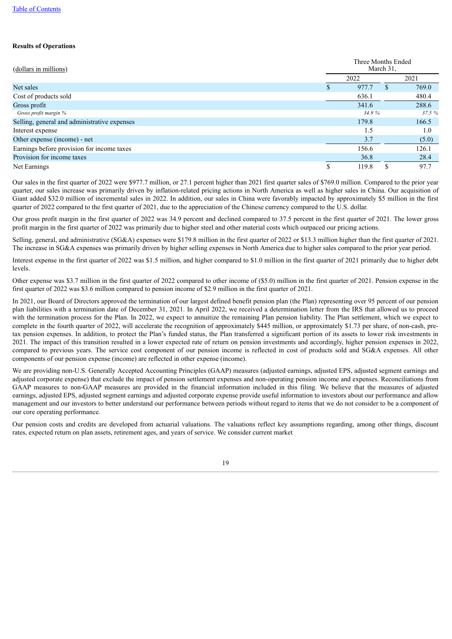# **Results of Operations**

| (dollars in millions)                        |       | Three Months Ended<br>March 31. |        |  |  |  |  |
|----------------------------------------------|-------|---------------------------------|--------|--|--|--|--|
|                                              | 2022  |                                 | 2021   |  |  |  |  |
| Net sales                                    | 977.7 |                                 | 769.0  |  |  |  |  |
| Cost of products sold                        | 636.1 |                                 | 480.4  |  |  |  |  |
| Gross profit                                 | 341.6 |                                 | 288.6  |  |  |  |  |
| Gross profit margin %                        | 34.9% |                                 | 37.5 % |  |  |  |  |
| Selling, general and administrative expenses | 179.8 |                                 | 166.5  |  |  |  |  |
| Interest expense                             | 1.5   |                                 | 1.0    |  |  |  |  |
| Other expense (income) - net                 | 3.7   |                                 | (5.0)  |  |  |  |  |
| Earnings before provision for income taxes   | 156.6 |                                 | 126.1  |  |  |  |  |
| Provision for income taxes                   | 36.8  |                                 | 28.4   |  |  |  |  |
| Net Earnings                                 | 119.8 |                                 | 97.7   |  |  |  |  |

Our sales in the first quarter of 2022 were \$977.7 million, or 27.1 percent higher than 2021 first quarter sales of \$769.0 million. Compared to the prior year quarter, our sales increase was primarily driven by inflation-related pricing actions in North America as well as higher sales in China. Our acquisition of Giant added \$32.0 million of incremental sales in 2022. In addition, our sales in China were favorably impacted by approximately \$5 million in the first quarter of 2022 compared to the first quarter of 2021, due to the appreciation of the Chinese currency compared to the U.S. dollar.

Our gross profit margin in the first quarter of 2022 was 34.9 percent and declined compared to 37.5 percent in the first quarter of 2021. The lower gross profit margin in the first quarter of 2022 was primarily due to higher steel and other material costs which outpaced our pricing actions.

Selling, general, and administrative (SG&A) expenses were \$179.8 million in the first quarter of 2022 or \$13.3 million higher than the first quarter of 2021. The increase in SG&A expenses was primarily driven by higher selling expenses in North America due to higher sales compared to the prior year period.

Interest expense in the first quarter of 2022 was \$1.5 million, and higher compared to \$1.0 million in the first quarter of 2021 primarily due to higher debt levels.

Other expense was \$3.7 million in the first quarter of 2022 compared to other income of (\$5.0) million in the first quarter of 2021. Pension expense in the first quarter of 2022 was \$3.6 million compared to pension income of \$2.9 million in the first quarter of 2021.

In 2021, our Board of Directors approved the termination of our largest defined benefit pension plan (the Plan) representing over 95 percent of our pension plan liabilities with a termination date of December 31, 2021. In April 2022, we received a determination letter from the IRS that allowed us to proceed with the termination process for the Plan. In 2022, we expect to annuitize the remaining Plan pension liability. The Plan settlement, which we expect to complete in the fourth quarter of 2022, will accelerate the recognition of approximately \$445 million, or approximately \$1.73 per share, of non-cash, pretax pension expenses. In addition, to protect the Plan's funded status, the Plan transferred a significant portion of its assets to lower risk investments in 2021. The impact of this transition resulted in a lower expected rate of return on pension investments and accordingly, higher pension expenses in 2022, compared to previous years. The service cost component of our pension income is reflected in cost of products sold and SG&A expenses. All other components of our pension expense (income) are reflected in other expense (income).

We are providing non-U.S. Generally Accepted Accounting Principles (GAAP) measures (adjusted earnings, adjusted EPS, adjusted segment earnings and adjusted corporate expense) that exclude the impact of pension settlement expenses and non-operating pension income and expenses. Reconciliations from GAAP measures to non-GAAP measures are provided in the financial information included in this filing. We believe that the measures of adjusted earnings, adjusted EPS, adjusted segment earnings and adjusted corporate expense provide useful information to investors about our performance and allow management and our investors to better understand our performance between periods without regard to items that we do not consider to be a component of our core operating performance.

Our pension costs and credits are developed from actuarial valuations. The valuations reflect key assumptions regarding, among other things, discount rates, expected return on plan assets, retirement ages, and years of service. We consider current market

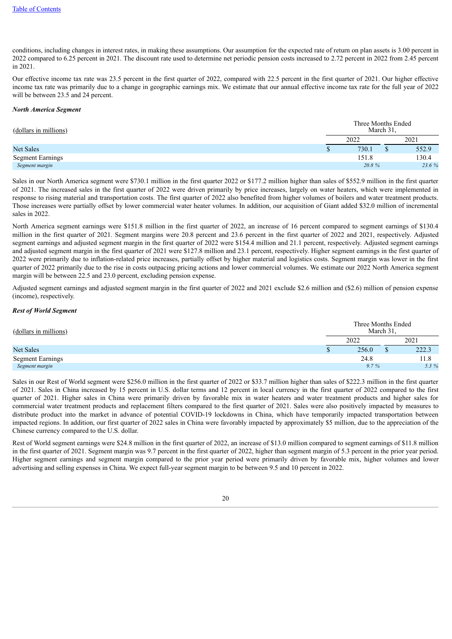conditions, including changes in interest rates, in making these assumptions. Our assumption for the expected rate of return on plan assets is 3.00 percent in 2022 compared to 6.25 percent in 2021. The discount rate used to determine net periodic pension costs increased to 2.72 percent in 2022 from 2.45 percent in 2021.

Our effective income tax rate was 23.5 percent in the first quarter of 2022, compared with 22.5 percent in the first quarter of 2021. Our higher effective income tax rate was primarily due to a change in geographic earnings mix. We estimate that our annual effective income tax rate for the full year of 2022 will be between 23.5 and 24 percent.

#### *North America Segment*

| (dollars in millions)   | Three Months Ended<br>March 31. |  |       |  |  |  |  |  |
|-------------------------|---------------------------------|--|-------|--|--|--|--|--|
|                         | 2022                            |  | 2021  |  |  |  |  |  |
| <b>Net Sales</b>        | 730.1                           |  | 552.9 |  |  |  |  |  |
| <b>Segment Earnings</b> | 151.8                           |  | 130.4 |  |  |  |  |  |
| Segment margin          | 20.8%                           |  | 23.6% |  |  |  |  |  |

Sales in our North America segment were \$730.1 million in the first quarter 2022 or \$177.2 million higher than sales of \$552.9 million in the first quarter of 2021. The increased sales in the first quarter of 2022 were driven primarily by price increases, largely on water heaters, which were implemented in response to rising material and transportation costs. The first quarter of 2022 also benefited from higher volumes of boilers and water treatment products. Those increases were partially offset by lower commercial water heater volumes. In addition, our acquisition of Giant added \$32.0 million of incremental sales in 2022.

North America segment earnings were \$151.8 million in the first quarter of 2022, an increase of 16 percent compared to segment earnings of \$130.4 million in the first quarter of 2021. Segment margins were 20.8 percent and 23.6 percent in the first quarter of 2022 and 2021, respectively. Adjusted segment earnings and adjusted segment margin in the first quarter of 2022 were \$154.4 million and 21.1 percent, respectively. Adjusted segment earnings and adjusted segment margin in the first quarter of 2021 were \$127.8 million and 23.1 percent, respectively. Higher segment earnings in the first quarter of 2022 were primarily due to inflation-related price increases, partially offset by higher material and logistics costs. Segment margin was lower in the first quarter of 2022 primarily due to the rise in costs outpacing pricing actions and lower commercial volumes. We estimate our 2022 North America segment margin will be between 22.5 and 23.0 percent, excluding pension expense.

Adjusted segment earnings and adjusted segment margin in the first quarter of 2022 and 2021 exclude \$2.6 million and (\$2.6) million of pension expense (income), respectively.

# *Rest of World Segment*

| (dollars in millions)   | Three Months Ended<br>March 31 |  |       |  |  |  |  |  |
|-------------------------|--------------------------------|--|-------|--|--|--|--|--|
|                         | 2022                           |  | 2021  |  |  |  |  |  |
| <b>Net Sales</b>        | 256.0                          |  | 222.3 |  |  |  |  |  |
| <b>Segment Earnings</b> | 24.8                           |  | 11.8  |  |  |  |  |  |
| Segment margin          | 9.7%                           |  | 5.3 % |  |  |  |  |  |

Sales in our Rest of World segment were \$256.0 million in the first quarter of 2022 or \$33.7 million higher than sales of \$222.3 million in the first quarter of 2021. Sales in China increased by 15 percent in U.S. dollar terms and 12 percent in local currency in the first quarter of 2022 compared to the first quarter of 2021. Higher sales in China were primarily driven by favorable mix in water heaters and water treatment products and higher sales for commercial water treatment products and replacement filters compared to the first quarter of 2021. Sales were also positively impacted by measures to distribute product into the market in advance of potential COVID-19 lockdowns in China, which have temporarily impacted transportation between impacted regions. In addition, our first quarter of 2022 sales in China were favorably impacted by approximately \$5 million, due to the appreciation of the Chinese currency compared to the U.S. dollar.

Rest of World segment earnings were \$24.8 million in the first quarter of 2022, an increase of \$13.0 million compared to segment earnings of \$11.8 million in the first quarter of 2021. Segment margin was 9.7 percent in the first quarter of 2022, higher than segment margin of 5.3 percent in the prior year period. Higher segment earnings and segment margin compared to the prior year period were primarily driven by favorable mix, higher volumes and lower advertising and selling expenses in China. We expect full-year segment margin to be between 9.5 and 10 percent in 2022.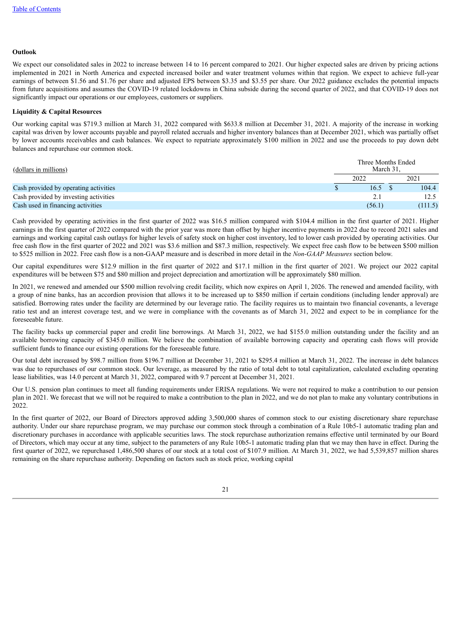#### **Outlook**

We expect our consolidated sales in 2022 to increase between 14 to 16 percent compared to 2021. Our higher expected sales are driven by pricing actions implemented in 2021 in North America and expected increased boiler and water treatment volumes within that region. We expect to achieve full-year earnings of between \$1.56 and \$1.76 per share and adjusted EPS between \$3.35 and \$3.55 per share. Our 2022 guidance excludes the potential impacts from future acquisitions and assumes the COVID-19 related lockdowns in China subside during the second quarter of 2022, and that COVID-19 does not significantly impact our operations or our employees, customers or suppliers.

#### **Liquidity & Capital Resources**

Our working capital was \$719.3 million at March 31, 2022 compared with \$633.8 million at December 31, 2021. A majority of the increase in working capital was driven by lower accounts payable and payroll related accruals and higher inventory balances than at December 2021, which was partially offset by lower accounts receivables and cash balances. We expect to repatriate approximately \$100 million in 2022 and use the proceeds to pay down debt balances and repurchase our common stock.

| (dollars in millions)                 |  | Three Months Ended<br>March 31 |  |         |  |  |  |  |
|---------------------------------------|--|--------------------------------|--|---------|--|--|--|--|
|                                       |  | 2022                           |  | 2021    |  |  |  |  |
| Cash provided by operating activities |  | 16.5                           |  | 104.4   |  |  |  |  |
| Cash provided by investing activities |  | 2.1                            |  |         |  |  |  |  |
| Cash used in financing activities     |  | (56.1)                         |  | (111.5) |  |  |  |  |

Cash provided by operating activities in the first quarter of 2022 was \$16.5 million compared with \$104.4 million in the first quarter of 2021. Higher earnings in the first quarter of 2022 compared with the prior year was more than offset by higher incentive payments in 2022 due to record 2021 sales and earnings and working capital cash outlays for higher levels of safety stock on higher cost inventory, led to lower cash provided by operating activities. Our free cash flow in the first quarter of 2022 and 2021 was \$3.6 million and \$87.3 million, respectively. We expect free cash flow to be between \$500 million to \$525 million in 2022. Free cash flow is a non-GAAP measure and is described in more detail in the *Non-GAAP Measures* section below.

Our capital expenditures were \$12.9 million in the first quarter of 2022 and \$17.1 million in the first quarter of 2021. We project our 2022 capital expenditures will be between \$75 and \$80 million and project depreciation and amortization will be approximately \$80 million.

In 2021, we renewed and amended our \$500 million revolving credit facility, which now expires on April 1, 2026. The renewed and amended facility, with a group of nine banks, has an accordion provision that allows it to be increased up to \$850 million if certain conditions (including lender approval) are satisfied. Borrowing rates under the facility are determined by our leverage ratio. The facility requires us to maintain two financial covenants, a leverage ratio test and an interest coverage test, and we were in compliance with the covenants as of March 31, 2022 and expect to be in compliance for the foreseeable future.

The facility backs up commercial paper and credit line borrowings. At March 31, 2022, we had \$155.0 million outstanding under the facility and an available borrowing capacity of \$345.0 million. We believe the combination of available borrowing capacity and operating cash flows will provide sufficient funds to finance our existing operations for the foreseeable future.

Our total debt increased by \$98.7 million from \$196.7 million at December 31, 2021 to \$295.4 million at March 31, 2022. The increase in debt balances was due to repurchases of our common stock. Our leverage, as measured by the ratio of total debt to total capitalization, calculated excluding operating lease liabilities, was 14.0 percent at March 31, 2022, compared with 9.7 percent at December 31, 2021.

Our U.S. pension plan continues to meet all funding requirements under ERISA regulations. We were not required to make a contribution to our pension plan in 2021. We forecast that we will not be required to make a contribution to the plan in 2022, and we do not plan to make any voluntary contributions in 2022.

In the first quarter of 2022, our Board of Directors approved adding 3,500,000 shares of common stock to our existing discretionary share repurchase authority. Under our share repurchase program, we may purchase our common stock through a combination of a Rule 10b5-1 automatic trading plan and discretionary purchases in accordance with applicable securities laws. The stock repurchase authorization remains effective until terminated by our Board of Directors, which may occur at any time, subject to the parameters of any Rule 10b5-1 automatic trading plan that we may then have in effect. During the first quarter of 2022, we repurchased 1,486,500 shares of our stock at a total cost of \$107.9 million. At March 31, 2022, we had 5,539,857 million shares remaining on the share repurchase authority. Depending on factors such as stock price, working capital

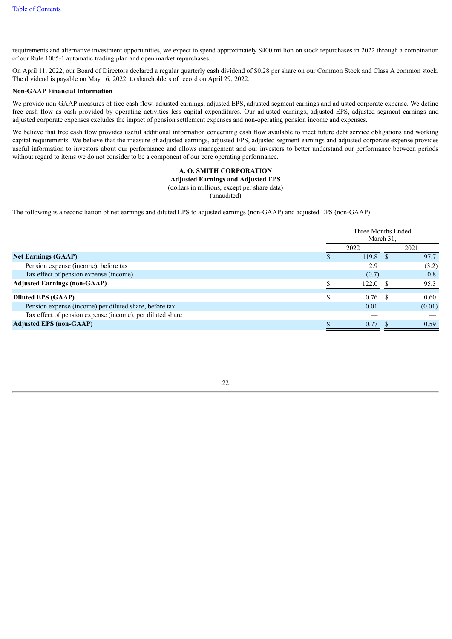requirements and alternative investment opportunities, we expect to spend approximately \$400 million on stock repurchases in 2022 through a combination of our Rule 10b5-1 automatic trading plan and open market repurchases.

On April 11, 2022, our Board of Directors declared a regular quarterly cash dividend of \$0.28 per share on our Common Stock and Class A common stock. The dividend is payable on May 16, 2022, to shareholders of record on April 29, 2022.

#### **Non-GAAP Financial Information**

We provide non-GAAP measures of free cash flow, adjusted earnings, adjusted EPS, adjusted segment earnings and adjusted corporate expense. We define free cash flow as cash provided by operating activities less capital expenditures. Our adjusted earnings, adjusted EPS, adjusted segment earnings and adjusted corporate expenses excludes the impact of pension settlement expenses and non-operating pension income and expenses.

We believe that free cash flow provides useful additional information concerning cash flow available to meet future debt service obligations and working capital requirements. We believe that the measure of adjusted earnings, adjusted EPS, adjusted segment earnings and adjusted corporate expense provides useful information to investors about our performance and allows management and our investors to better understand our performance between periods without regard to items we do not consider to be a component of our core operating performance.

# **A. O. SMITH CORPORATION**

**Adjusted Earnings and Adjusted EPS**

(dollars in millions, except per share data)

(unaudited)

The following is a reconciliation of net earnings and diluted EPS to adjusted earnings (non-GAAP) and adjusted EPS (non-GAAP):

|                                                           | Three Months Ended<br>March 31. |        |
|-----------------------------------------------------------|---------------------------------|--------|
|                                                           | 2022                            | 2021   |
| <b>Net Earnings (GAAP)</b>                                | 119.8                           | 97.7   |
| Pension expense (income), before tax                      | 2.9                             | (3.2)  |
| Tax effect of pension expense (income)                    | (0.7)                           | 0.8    |
| <b>Adjusted Earnings (non-GAAP)</b>                       | 122.0                           | 95.3   |
| <b>Diluted EPS (GAAP)</b>                                 | 0.76                            | 0.60   |
| Pension expense (income) per diluted share, before tax    | 0.01                            | (0.01) |
| Tax effect of pension expense (income), per diluted share |                                 |        |
| <b>Adjusted EPS (non-GAAP)</b>                            | 0.77                            | 0.59   |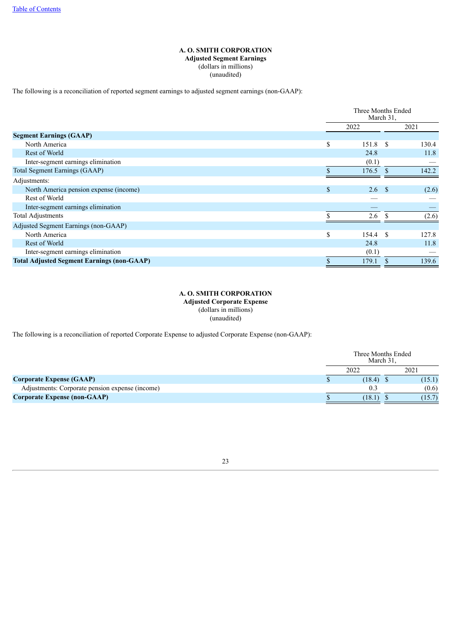# **A. O. SMITH CORPORATION**

**Adjusted Segment Earnings** (dollars in millions)

(unaudited)

The following is a reconciliation of reported segment earnings to adjusted segment earnings (non-GAAP):

|                                                   | Three Months Ended<br>March 31. |      |       |  |  |  |
|---------------------------------------------------|---------------------------------|------|-------|--|--|--|
|                                                   | 2022                            |      | 2021  |  |  |  |
| <b>Segment Earnings (GAAP)</b>                    |                                 |      |       |  |  |  |
| North America                                     | \$<br>151.8                     | - \$ | 130.4 |  |  |  |
| Rest of World                                     | 24.8                            |      | 11.8  |  |  |  |
| Inter-segment earnings elimination                | (0.1)                           |      |       |  |  |  |
| Total Segment Earnings (GAAP)                     | 176.5                           |      | 142.2 |  |  |  |
| Adjustments:                                      |                                 |      |       |  |  |  |
| North America pension expense (income)            | \$<br>2.6 <sup>°</sup>          |      | (2.6) |  |  |  |
| Rest of World                                     |                                 |      |       |  |  |  |
| Inter-segment earnings elimination                |                                 |      |       |  |  |  |
| <b>Total Adjustments</b>                          | 2.6                             |      | (2.6) |  |  |  |
| Adjusted Segment Earnings (non-GAAP)              |                                 |      |       |  |  |  |
| North America                                     | \$<br>154.4                     | - \$ | 127.8 |  |  |  |
| Rest of World                                     | 24.8                            |      | 11.8  |  |  |  |
| Inter-segment earnings elimination                | (0.1)                           |      |       |  |  |  |
| <b>Total Adjusted Segment Earnings (non-GAAP)</b> | 179.1                           |      | 139.6 |  |  |  |

# **A. O. SMITH CORPORATION Adjusted Corporate Expense** (dollars in millions)

(unaudited)

The following is a reconciliation of reported Corporate Expense to adjusted Corporate Expense (non-GAAP):

|                                                 | Three Months Ended<br>March 31 |  |        |  |
|-------------------------------------------------|--------------------------------|--|--------|--|
|                                                 | 2022                           |  | 2021   |  |
| <b>Corporate Expense (GAAP)</b>                 | (18.4)                         |  | (15.1) |  |
| Adjustments: Corporate pension expense (income) | 0.3                            |  | (0.6)  |  |
| <b>Corporate Expense (non-GAAP)</b>             | (18.1)                         |  | (15.7) |  |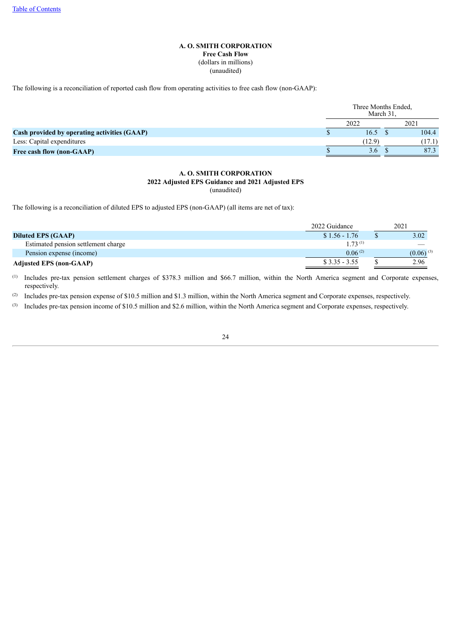# **A. O. SMITH CORPORATION Free Cash Flow** (dollars in millions) (unaudited)

The following is a reconciliation of reported cash flow from operating activities to free cash flow (non-GAAP):

|                                              | Three Months Ended,<br>March 31 |  |        |
|----------------------------------------------|---------------------------------|--|--------|
|                                              | 2022                            |  | 2021   |
| Cash provided by operating activities (GAAP) | 16.5                            |  | 104.4  |
| Less: Capital expenditures                   | (12.9)                          |  | (17.1) |
| Free cash flow (non-GAAP)                    | 3.6                             |  | 87.3   |

#### **A. O. SMITH CORPORATION**

#### **2022 Adjusted EPS Guidance and 2021 Adjusted EPS**

(unaudited)

The following is a reconciliation of diluted EPS to adjusted EPS (non-GAAP) (all items are net of tax):

|                                     | 2022 Guidance  | 2021           |
|-------------------------------------|----------------|----------------|
| <b>Diluted EPS (GAAP)</b>           | $$1.56 - 1.76$ | 3.02           |
| Estimated pension settlement charge | 173(1)         |                |
| Pension expense (income)            | $0.06^{(2)}$   | $(0.06)^{(3)}$ |
| <b>Adjusted EPS (non-GAAP)</b>      | $$3.35 - 3.55$ | 2.96           |

Includes pre-tax pension settlement charges of \$378.3 million and \$66.7 million, within the North America segment and Corporate expenses, (1) respectively.

<sup>(2)</sup> Includes pre-tax pension expense of \$10.5 million and \$1.3 million, within the North America segment and Corporate expenses, respectively.

Includes pre-tax pension income of \$10.5 million and \$2.6 million, within the North America segment and Corporate expenses, respectively. (3)

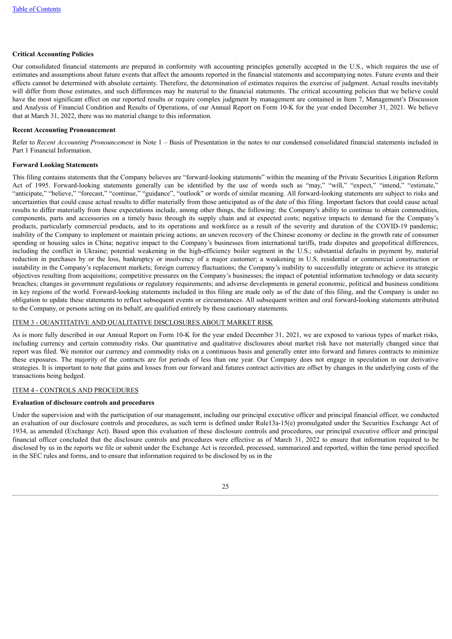### **Critical Accounting Policies**

Our consolidated financial statements are prepared in conformity with accounting principles generally accepted in the U.S., which requires the use of estimates and assumptions about future events that affect the amounts reported in the financial statements and accompanying notes. Future events and their effects cannot be determined with absolute certainty. Therefore, the determination of estimates requires the exercise of judgment. Actual results inevitably will differ from those estimates, and such differences may be material to the financial statements. The critical accounting policies that we believe could have the most significant effect on our reported results or require complex judgment by management are contained in Item 7, Management's Discussion and Analysis of Financial Condition and Results of Operations, of our Annual Report on Form 10-K for the year ended December 31, 2021. We believe that at March 31, 2022, there was no material change to this information.

#### **Recent Accounting Pronouncement**

Refer to *Recent Accounting Pronouncement* in Note 1 – Basis of Presentation in the notes to our condensed consolidated financial statements included in Part 1 Financial Information.

#### <span id="page-24-0"></span>**Forward Looking Statements**

This filing contains statements that the Company believes are "forward-looking statements" within the meaning of the Private Securities Litigation Reform Act of 1995. Forward-looking statements generally can be identified by the use of words such as "may," "will," "expect," "intend," "estimate," "anticipate," "believe," "forecast," "continue," "guidance", "outlook" or words of similar meaning. All forward-looking statements are subject to risks and uncertainties that could cause actual results to differ materially from those anticipated as of the date of this filing. Important factors that could cause actual results to differ materially from these expectations include, among other things, the following: the Company's ability to continue to obtain commodities, components, parts and accessories on a timely basis through its supply chain and at expected costs; negative impacts to demand for the Company's products, particularly commercial products, and to its operations and workforce as a result of the severity and duration of the COVID-19 pandemic; inability of the Company to implement or maintain pricing actions; an uneven recovery of the Chinese economy or decline in the growth rate of consumer spending or housing sales in China; negative impact to the Company's businesses from international tariffs, trade disputes and geopolitical differences, including the conflict in Ukraine; potential weakening in the high-efficiency boiler segment in the U.S.; substantial defaults in payment by, material reduction in purchases by or the loss, bankruptcy or insolvency of a major customer; a weakening in U.S. residential or commercial construction or instability in the Company's replacement markets; foreign currency fluctuations; the Company's inability to successfully integrate or achieve its strategic objectives resulting from acquisitions; competitive pressures on the Company's businesses; the impact of potential information technology or data security breaches; changes in government regulations or regulatory requirements; and adverse developments in general economic, political and business conditions in key regions of the world. Forward-looking statements included in this filing are made only as of the date of this filing, and the Company is under no obligation to update these statements to reflect subsequent events or circumstances. All subsequent written and oral forward-looking statements attributed to the Company, or persons acting on its behalf, are qualified entirely by these cautionary statements.

# <span id="page-24-1"></span>ITEM 3 - QUANTITATIVE AND QUALITATIVE DISCLOSURES ABOUT MARKET RISK

As is more fully described in our Annual Report on Form 10-K for the year ended December 31, 2021, we are exposed to various types of market risks, including currency and certain commodity risks. Our quantitative and qualitative disclosures about market risk have not materially changed since that report was filed. We monitor our currency and commodity risks on a continuous basis and generally enter into forward and futures contracts to minimize these exposures. The majority of the contracts are for periods of less than one year. Our Company does not engage in speculation in our derivative strategies. It is important to note that gains and losses from our forward and futures contract activities are offset by changes in the underlying costs of the transactions being hedged.

#### <span id="page-24-2"></span>ITEM 4 - CONTROLS AND PROCEDURES

#### **Evaluation of disclosure controls and procedures**

Under the supervision and with the participation of our management, including our principal executive officer and principal financial officer, we conducted an evaluation of our disclosure controls and procedures, as such term is defined under Rule13a-15(e) promulgated under the Securities Exchange Act of 1934, as amended (Exchange Act). Based upon this evaluation of these disclosure controls and procedures, our principal executive officer and principal financial officer concluded that the disclosure controls and procedures were effective as of March 31, 2022 to ensure that information required to be disclosed by us in the reports we file or submit under the Exchange Act is recorded, processed, summarized and reported, within the time period specified in the SEC rules and forms, and to ensure that information required to be disclosed by us in the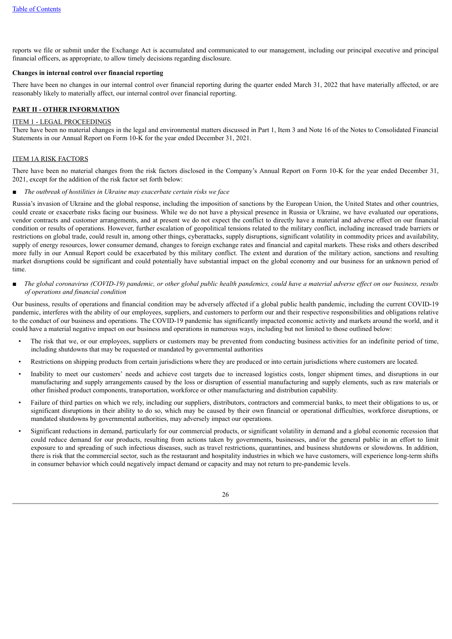reports we file or submit under the Exchange Act is accumulated and communicated to our management, including our principal executive and principal financial officers, as appropriate, to allow timely decisions regarding disclosure.

# **Changes in internal control over financial reporting**

There have been no changes in our internal control over financial reporting during the quarter ended March 31, 2022 that have materially affected, or are reasonably likely to materially affect, our internal control over financial reporting.

# <span id="page-25-0"></span>**PART II - OTHER INFORMATION**

#### <span id="page-25-1"></span>ITEM 1 - LEGAL PROCEEDINGS

There have been no material changes in the legal and environmental matters discussed in Part 1, Item 3 and Note 16 of the Notes to Consolidated Financial Statements in our Annual Report on Form 10-K for the year ended December 31, 2021.

#### <span id="page-25-2"></span>ITEM 1A RISK FACTORS

There have been no material changes from the risk factors disclosed in the Company's Annual Report on Form 10-K for the year ended December 31, 2021, except for the addition of the risk factor set forth below:

*■ The outbreak of hostilities in Ukraine may exacerbate certain risks we face*

Russia's invasion of Ukraine and the global response, including the imposition of sanctions by the European Union, the United States and other countries, could create or exacerbate risks facing our business. While we do not have a physical presence in Russia or Ukraine, we have evaluated our operations, vendor contracts and customer arrangements, and at present we do not expect the conflict to directly have a material and adverse effect on our financial condition or results of operations. However, further escalation of geopolitical tensions related to the military conflict, including increased trade barriers or restrictions on global trade, could result in, among other things, cyberattacks, supply disruptions, significant volatility in commodity prices and availability, supply of energy resources, lower consumer demand, changes to foreign exchange rates and financial and capital markets. These risks and others described more fully in our Annual Report could be exacerbated by this military conflict. The extent and duration of the military action, sanctions and resulting market disruptions could be significant and could potentially have substantial impact on the global economy and our business for an unknown period of time.

• The global coronavirus (COVID-19) pandemic, or other global public health pandemics, could have a material adverse effect on our business, results *of operations and financial condition*

Our business, results of operations and financial condition may be adversely affected if a global public health pandemic, including the current COVID-19 pandemic, interferes with the ability of our employees, suppliers, and customers to perform our and their respective responsibilities and obligations relative to the conduct of our business and operations. The COVID-19 pandemic has significantly impacted economic activity and markets around the world, and it could have a material negative impact on our business and operations in numerous ways, including but not limited to those outlined below:

- The risk that we, or our employees, suppliers or customers may be prevented from conducting business activities for an indefinite period of time, including shutdowns that may be requested or mandated by governmental authorities
- Restrictions on shipping products from certain jurisdictions where they are produced or into certain jurisdictions where customers are located.
- Inability to meet our customers' needs and achieve cost targets due to increased logistics costs, longer shipment times, and disruptions in our manufacturing and supply arrangements caused by the loss or disruption of essential manufacturing and supply elements, such as raw materials or other finished product components, transportation, workforce or other manufacturing and distribution capability.
- Failure of third parties on which we rely, including our suppliers, distributors, contractors and commercial banks, to meet their obligations to us, or significant disruptions in their ability to do so, which may be caused by their own financial or operational difficulties, workforce disruptions, or mandated shutdowns by governmental authorities, may adversely impact our operations.
- Significant reductions in demand, particularly for our commercial products, or significant volatility in demand and a global economic recession that could reduce demand for our products, resulting from actions taken by governments, businesses, and/or the general public in an effort to limit exposure to and spreading of such infectious diseases, such as travel restrictions, quarantines, and business shutdowns or slowdowns. In addition, there is risk that the commercial sector, such as the restaurant and hospitality industries in which we have customers, will experience long-term shifts in consumer behavior which could negatively impact demand or capacity and may not return to pre-pandemic levels.

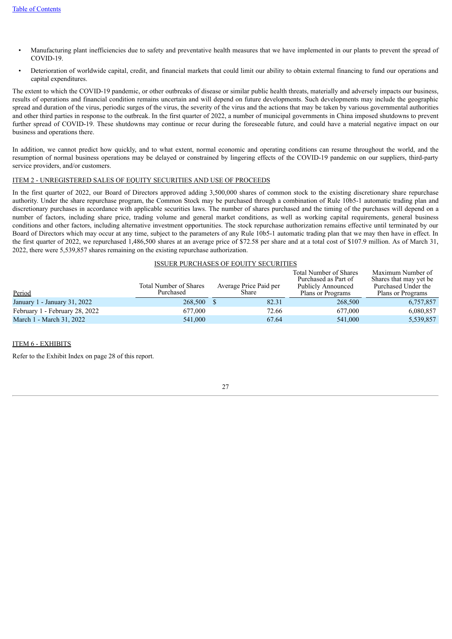- Manufacturing plant inefficiencies due to safety and preventative health measures that we have implemented in our plants to prevent the spread of COVID-19.
- Deterioration of worldwide capital, credit, and financial markets that could limit our ability to obtain external financing to fund our operations and capital expenditures.

The extent to which the COVID-19 pandemic, or other outbreaks of disease or similar public health threats, materially and adversely impacts our business, results of operations and financial condition remains uncertain and will depend on future developments. Such developments may include the geographic spread and duration of the virus, periodic surges of the virus, the severity of the virus and the actions that may be taken by various governmental authorities and other third parties in response to the outbreak. In the first quarter of 2022, a number of municipal governments in China imposed shutdowns to prevent further spread of COVID-19. These shutdowns may continue or recur during the foreseeable future, and could have a material negative impact on our business and operations there.

In addition, we cannot predict how quickly, and to what extent, normal economic and operating conditions can resume throughout the world, and the resumption of normal business operations may be delayed or constrained by lingering effects of the COVID-19 pandemic on our suppliers, third-party service providers, and/or customers.

#### <span id="page-26-0"></span>ITEM 2 - UNREGISTERED SALES OF EQUITY SECURITIES AND USE OF PROCEEDS

In the first quarter of 2022, our Board of Directors approved adding 3,500,000 shares of common stock to the existing discretionary share repurchase authority. Under the share repurchase program, the Common Stock may be purchased through a combination of Rule 10b5-1 automatic trading plan and discretionary purchases in accordance with applicable securities laws. The number of shares purchased and the timing of the purchases will depend on a number of factors, including share price, trading volume and general market conditions, as well as working capital requirements, general business conditions and other factors, including alternative investment opportunities. The stock repurchase authorization remains effective until terminated by our Board of Directors which may occur at any time, subject to the parameters of any Rule 10b5-1 automatic trading plan that we may then have in effect. In the first quarter of 2022, we repurchased 1,486,500 shares at an average price of \$72.58 per share and at a total cost of \$107.9 million. As of March 31, 2022, there were 5,539,857 shares remaining on the existing repurchase authorization.

#### ISSUER PURCHASES OF EQUITY SECURITIES

| Period                         | <b>Total Number of Shares</b><br>Purchased | Average Price Paid per<br>Share | <b>Total Number of Shares</b><br>Purchased as Part of<br><b>Publicly Announced</b><br>Plans or Programs | Maximum Number of<br>Shares that may yet be<br>Purchased Under the<br>Plans or Programs |
|--------------------------------|--------------------------------------------|---------------------------------|---------------------------------------------------------------------------------------------------------|-----------------------------------------------------------------------------------------|
| January 1 - January 31, 2022   | 268,500                                    | 82.31                           | 268,500                                                                                                 | 6,757,857                                                                               |
| February 1 - February 28, 2022 | 677,000                                    | 72.66                           | 677,000                                                                                                 | 6,080,857                                                                               |
| March 1 - March 31, 2022       | 541,000                                    | 67.64                           | 541,000                                                                                                 | 5,539,857                                                                               |

### <span id="page-26-1"></span>ITEM 6 - EXHIBITS

<span id="page-26-2"></span>Refer to the Exhibit Index on page 28 of this report.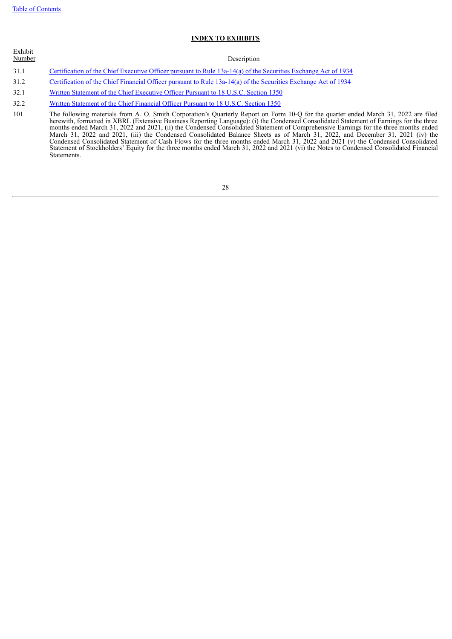# **INDEX TO EXHIBITS**

<span id="page-27-0"></span>

| Exhibit<br><b>Number</b> | Description                                                                                                                                                                                                                                                                                                                                                                                                                                                                                                                                                                                                                                                                                                                                                                                                                                           |
|--------------------------|-------------------------------------------------------------------------------------------------------------------------------------------------------------------------------------------------------------------------------------------------------------------------------------------------------------------------------------------------------------------------------------------------------------------------------------------------------------------------------------------------------------------------------------------------------------------------------------------------------------------------------------------------------------------------------------------------------------------------------------------------------------------------------------------------------------------------------------------------------|
| 31.1                     | Certification of the Chief Executive Officer pursuant to Rule 13a-14(a) of the Securities Exchange Act of 1934                                                                                                                                                                                                                                                                                                                                                                                                                                                                                                                                                                                                                                                                                                                                        |
| 31.2                     | Certification of the Chief Financial Officer pursuant to Rule 13a-14(a) of the Securities Exchange Act of 1934                                                                                                                                                                                                                                                                                                                                                                                                                                                                                                                                                                                                                                                                                                                                        |
| 32.1                     | <u>Written Statement of the Chief Executive Officer Pursuant to 18 U.S.C. Section 1350</u>                                                                                                                                                                                                                                                                                                                                                                                                                                                                                                                                                                                                                                                                                                                                                            |
| 32.2                     | Written Statement of the Chief Financial Officer Pursuant to 18 U.S.C. Section 1350                                                                                                                                                                                                                                                                                                                                                                                                                                                                                                                                                                                                                                                                                                                                                                   |
| 101                      | The following materials from A. O. Smith Corporation's Quarterly Report on Form 10-Q for the quarter ended March 31, 2022 are filed<br>herewith, formatted in XBRL (Extensive Business Reporting Language): (i) the Condensed Consolidated Statement of Earnings for the three<br>months ended March 31, 2022 and 2021, (ii) the Condensed Consolidated Statement of Comprehensive Earnings for the three months ended<br>March 31, 2022 and 2021, (iii) the Condensed Consolidated Balance Sheets as of March 31, 2022, and December 31, 2021 (iv) the<br>Condensed Consolidated Statement of Cash Flows for the three months ended March 31, 2022 and 2021 (v) the Condensed Consolidated<br>Statement of Stockholders' Equity for the three months ended March 31, 2022 and 2021 (vi) the Notes to Condensed Consolidated Financial<br>Statements. |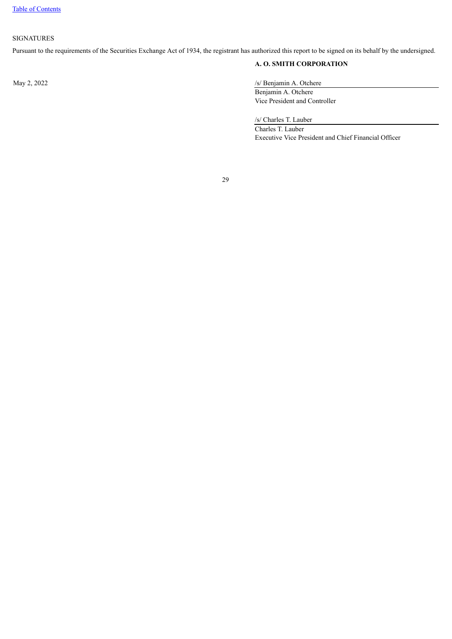# SIGNATURES

Pursuant to the requirements of the Securities Exchange Act of 1934, the registrant has authorized this report to be signed on its behalf by the undersigned.

# **A. O. SMITH CORPORATION**

May 2, 2022 /s/ Benjamin A. Otchere Benjamin A. Otchere

Vice President and Controller

/s/ Charles T. Lauber

Charles T. Lauber Executive Vice President and Chief Financial Officer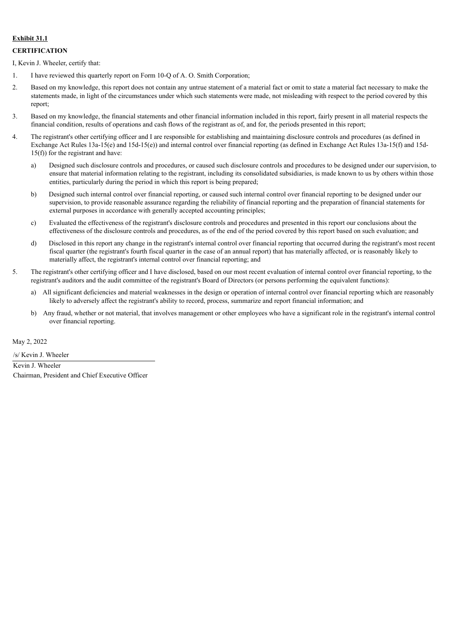# <span id="page-29-0"></span>**Exhibit 31.1**

# **CERTIFICATION**

I, Kevin J. Wheeler, certify that:

- 1. I have reviewed this quarterly report on Form 10-Q of A. O. Smith Corporation;
- 2. Based on my knowledge, this report does not contain any untrue statement of a material fact or omit to state a material fact necessary to make the statements made, in light of the circumstances under which such statements were made, not misleading with respect to the period covered by this report;
- 3. Based on my knowledge, the financial statements and other financial information included in this report, fairly present in all material respects the financial condition, results of operations and cash flows of the registrant as of, and for, the periods presented in this report;
- 4. The registrant's other certifying officer and I are responsible for establishing and maintaining disclosure controls and procedures (as defined in Exchange Act Rules 13a-15(e) and 15d-15(e)) and internal control over financial reporting (as defined in Exchange Act Rules 13a-15(f) and 15d-15(f)) for the registrant and have:
	- a) Designed such disclosure controls and procedures, or caused such disclosure controls and procedures to be designed under our supervision, to ensure that material information relating to the registrant, including its consolidated subsidiaries, is made known to us by others within those entities, particularly during the period in which this report is being prepared;
	- b) Designed such internal control over financial reporting, or caused such internal control over financial reporting to be designed under our supervision, to provide reasonable assurance regarding the reliability of financial reporting and the preparation of financial statements for external purposes in accordance with generally accepted accounting principles;
	- c) Evaluated the effectiveness of the registrant's disclosure controls and procedures and presented in this report our conclusions about the effectiveness of the disclosure controls and procedures, as of the end of the period covered by this report based on such evaluation; and
	- d) Disclosed in this report any change in the registrant's internal control over financial reporting that occurred during the registrant's most recent fiscal quarter (the registrant's fourth fiscal quarter in the case of an annual report) that has materially affected, or is reasonably likely to materially affect, the registrant's internal control over financial reporting; and
- 5. The registrant's other certifying officer and I have disclosed, based on our most recent evaluation of internal control over financial reporting, to the registrant's auditors and the audit committee of the registrant's Board of Directors (or persons performing the equivalent functions):
	- a) All significant deficiencies and material weaknesses in the design or operation of internal control over financial reporting which are reasonably likely to adversely affect the registrant's ability to record, process, summarize and report financial information; and
	- b) Any fraud, whether or not material, that involves management or other employees who have a significant role in the registrant's internal control over financial reporting.

May 2, 2022

/s/ Kevin J. Wheeler

Kevin J. Wheeler Chairman, President and Chief Executive Officer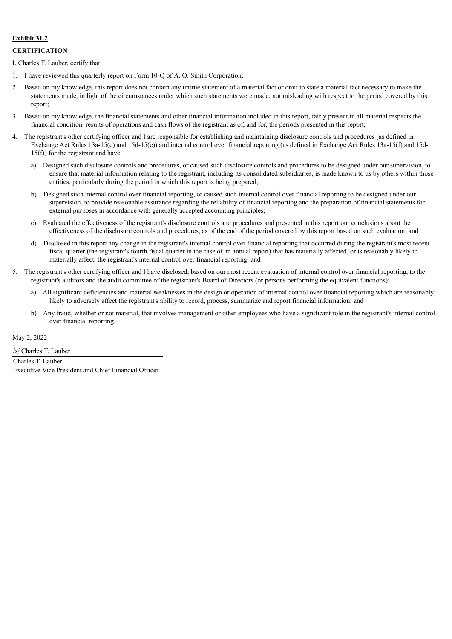# <span id="page-30-0"></span>**Exhibit 31.2**

# **CERTIFICATION**

I, Charles T. Lauber, certify that;

- 1. I have reviewed this quarterly report on Form 10-Q of A. O. Smith Corporation;
- 2. Based on my knowledge, this report does not contain any untrue statement of a material fact or omit to state a material fact necessary to make the statements made, in light of the circumstances under which such statements were made, not misleading with respect to the period covered by this report;
- 3. Based on my knowledge, the financial statements and other financial information included in this report, fairly present in all material respects the financial condition, results of operations and cash flows of the registrant as of, and for, the periods presented in this report;
- 4. The registrant's other certifying officer and I are responsible for establishing and maintaining disclosure controls and procedures (as defined in Exchange Act Rules 13a-15(e) and 15d-15(e)) and internal control over financial reporting (as defined in Exchange Act Rules 13a-15(f) and 15d-15(f)) for the registrant and have:
	- a) Designed such disclosure controls and procedures, or caused such disclosure controls and procedures to be designed under our supervision, to ensure that material information relating to the registrant, including its consolidated subsidiaries, is made known to us by others within those entities, particularly during the period in which this report is being prepared;
	- b) Designed such internal control over financial reporting, or caused such internal control over financial reporting to be designed under our supervision, to provide reasonable assurance regarding the reliability of financial reporting and the preparation of financial statements for external purposes in accordance with generally accepted accounting principles;
	- c) Evaluated the effectiveness of the registrant's disclosure controls and procedures and presented in this report our conclusions about the effectiveness of the disclosure controls and procedures, as of the end of the period covered by this report based on such evaluation; and
	- d) Disclosed in this report any change in the registrant's internal control over financial reporting that occurred during the registrant's most recent fiscal quarter (the registrant's fourth fiscal quarter in the case of an annual report) that has materially affected, or is reasonably likely to materially affect, the registrant's internal control over financial reporting; and
- 5. The registrant's other certifying officer and I have disclosed, based on our most recent evaluation of internal control over financial reporting, to the registrant's auditors and the audit committee of the registrant's Board of Directors (or persons performing the equivalent functions):
	- a) All significant deficiencies and material weaknesses in the design or operation of internal control over financial reporting which are reasonably likely to adversely affect the registrant's ability to record, process, summarize and report financial information; and
	- b) Any fraud, whether or not material, that involves management or other employees who have a significant role in the registrant's internal control over financial reporting.

May 2, 2022

/s/ Charles T. Lauber

Charles T. Lauber Executive Vice President and Chief Financial Officer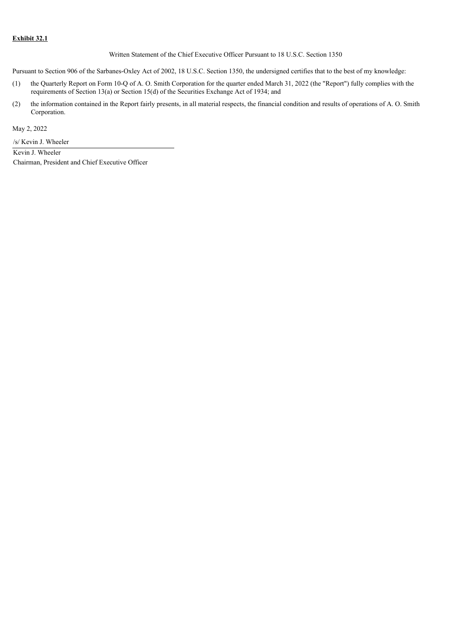# <span id="page-31-0"></span>**Exhibit 32.1**

Written Statement of the Chief Executive Officer Pursuant to 18 U.S.C. Section 1350

Pursuant to Section 906 of the Sarbanes-Oxley Act of 2002, 18 U.S.C. Section 1350, the undersigned certifies that to the best of my knowledge:

- (1) the Quarterly Report on Form 10-Q of A. O. Smith Corporation for the quarter ended March 31, 2022 (the "Report") fully complies with the requirements of Section 13(a) or Section 15(d) of the Securities Exchange Act of 1934; and
- (2) the information contained in the Report fairly presents, in all material respects, the financial condition and results of operations of A. O. Smith Corporation.

May 2, 2022

/s/ Kevin J. Wheeler

Kevin J. Wheeler Chairman, President and Chief Executive Officer